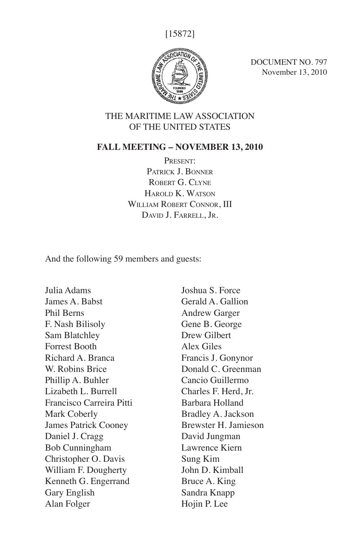[15872]



DOCUMENT NO. 797 November 13, 2010

### THE MARITIME LAW ASSOCIATION OF THE UNITED STATES

#### **FALL MEETING – NOVEMBER 13, 2010**

PRESENT: PATRICK J. BONNER ROBERT G. CLYNE Harold K. Watson WILLIAM ROBERT CONNOR, III David J. Farrell, Jr.

And the following 59 members and guests:

Julia Adams James A. Babst Phil Berns F. Nash Bilisoly Sam Blatchley Forrest Booth Richard A. Branca W. Robins Brice Phillip A. Buhler Lizabeth L. Burrell Francisco Carreira Pitti Mark Coberly James Patrick Cooney Daniel J. Cragg Bob Cunningham Christopher O. Davis William F. Dougherty Kenneth G. Engerrand Gary English Alan Folger

Joshua S. Force Gerald A. Gallion Andrew Garger Gene B. George Drew Gilbert Alex Giles Francis J. Gonynor Donald C. Greenman Cancio Guillermo Charles F. Herd, Jr. Barbara Holland Bradley A. Jackson Brewster H. Jamieson David Jungman Lawrence Kiern Sung Kim John D. Kimball Bruce A. King Sandra Knapp Hojin P. Lee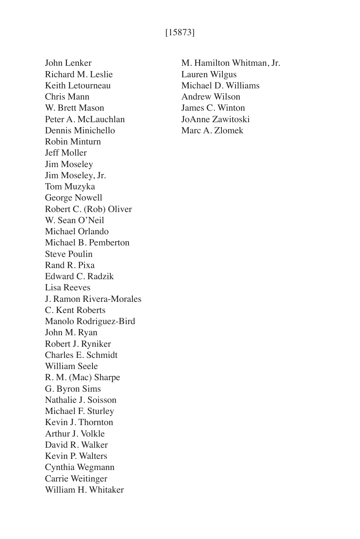## [15873]

John Lenker Richard M. Leslie Keith Letourneau Chris Mann W. Brett Mason Peter A. McLauchlan Dennis Minichello Robin Minturn Jeff Moller Jim Moseley Jim Moseley, Jr. Tom Muzyka George Nowell Robert C. (Rob) Oliver W. Sean O'Neil Michael Orlando Michael B. Pemberton Steve Poulin Rand R. Pixa Edward C. Radzik Lisa Reeves J. Ramon Rivera-Morales C. Kent Roberts Manolo Rodriguez-Bird John M. Ryan Robert J. Ryniker Charles E. Schmidt William Seele R. M. (Mac) Sharpe G. Byron Sims Nathalie J. Soisson Michael F. Sturley Kevin J. Thornton Arthur J. Volkle David R. Walker Kevin P. Walters Cynthia Wegmann Carrie Weitinger William H. Whitaker

M. Hamilton Whitman, Jr. Lauren Wilgus Michael D. Williams Andrew Wilson James C. Winton JoAnne Zawitoski Marc A. Zlomek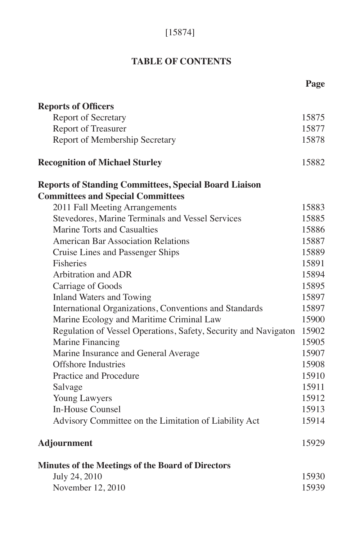# [15874]

# **TABLE OF CONTENTS**

|                                                                 | Page  |
|-----------------------------------------------------------------|-------|
| <b>Reports of Officers</b>                                      |       |
| <b>Report of Secretary</b>                                      | 15875 |
| <b>Report of Treasurer</b>                                      | 15877 |
| Report of Membership Secretary                                  | 15878 |
| <b>Recognition of Michael Sturley</b>                           | 15882 |
| <b>Reports of Standing Committees, Special Board Liaison</b>    |       |
| <b>Committees and Special Committees</b>                        |       |
| 2011 Fall Meeting Arrangements                                  | 15883 |
| Stevedores, Marine Terminals and Vessel Services                | 15885 |
| Marine Torts and Casualties                                     | 15886 |
| <b>American Bar Association Relations</b>                       | 15887 |
| Cruise Lines and Passenger Ships                                | 15889 |
| Fisheries                                                       | 15891 |
| <b>Arbitration and ADR</b>                                      | 15894 |
| Carriage of Goods                                               | 15895 |
| <b>Inland Waters and Towing</b>                                 | 15897 |
| International Organizations, Conventions and Standards          | 15897 |
| Marine Ecology and Maritime Criminal Law                        | 15900 |
| Regulation of Vessel Operations, Safety, Security and Navigaton | 15902 |
| Marine Financing                                                | 15905 |
| Marine Insurance and General Average                            | 15907 |
| <b>Offshore Industries</b>                                      | 15908 |
| Practice and Procedure                                          | 15910 |
| Salvage                                                         | 15911 |
| Young Lawyers                                                   | 15912 |
| <b>In-House Counsel</b>                                         | 15913 |
| Advisory Committee on the Limitation of Liability Act           | 15914 |
| Adjournment                                                     | 15929 |
| <b>Minutes of the Meetings of the Board of Directors</b>        |       |
| July 24, 2010                                                   | 15930 |
| November 12, 2010                                               | 15939 |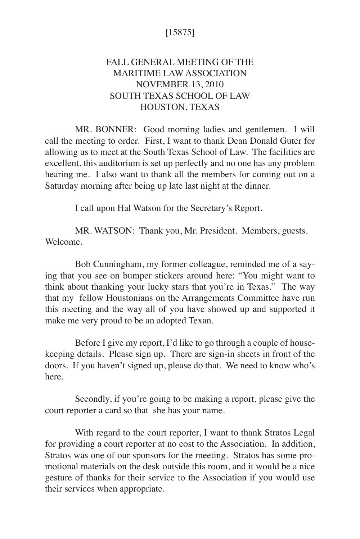## [15875]

# FALL GENERAL MEETING OF THE MARITIME LAW ASSOCIATION NOVEMBER 13, 2010 SOUTH TEXAS SCHOOL OF LAW HOUSTON, TEXAS

MR. BONNER: Good morning ladies and gentlemen. I will call the meeting to order. First, I want to thank Dean Donald Guter for allowing us to meet at the South Texas School of Law. The facilities are excellent, this auditorium is set up perfectly and no one has any problem hearing me. I also want to thank all the members for coming out on a Saturday morning after being up late last night at the dinner.

I call upon Hal Watson for the Secretary's Report.

MR. WATSON: Thank you, Mr. President. Members, guests. Welcome.

Bob Cunningham, my former colleague, reminded me of a saying that you see on bumper stickers around here: "You might want to think about thanking your lucky stars that you're in Texas." The way that my fellow Houstonians on the Arrangements Committee have run this meeting and the way all of you have showed up and supported it make me very proud to be an adopted Texan.

Before I give my report, I'd like to go through a couple of housekeeping details. Please sign up. There are sign-in sheets in front of the doors. If you haven't signed up, please do that. We need to know who's here.

Secondly, if you're going to be making a report, please give the court reporter a card so that she has your name.

With regard to the court reporter, I want to thank Stratos Legal for providing a court reporter at no cost to the Association. In addition, Stratos was one of our sponsors for the meeting. Stratos has some promotional materials on the desk outside this room, and it would be a nice gesture of thanks for their service to the Association if you would use their services when appropriate.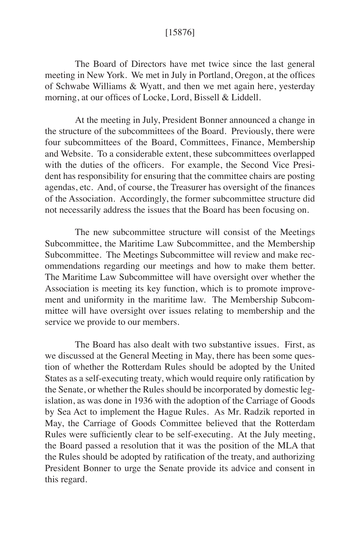#### [15876]

The Board of Directors have met twice since the last general meeting in New York. We met in July in Portland, Oregon, at the offices of Schwabe Williams & Wyatt, and then we met again here, yesterday morning, at our offices of Locke, Lord, Bissell & Liddell.

At the meeting in July, President Bonner announced a change in the structure of the subcommittees of the Board. Previously, there were four subcommittees of the Board, Committees, Finance, Membership and Website. To a considerable extent, these subcommittees overlapped with the duties of the officers. For example, the Second Vice President has responsibility for ensuring that the committee chairs are posting agendas, etc. And, of course, the Treasurer has oversight of the finances of the Association. Accordingly, the former subcommittee structure did not necessarily address the issues that the Board has been focusing on.

The new subcommittee structure will consist of the Meetings Subcommittee, the Maritime Law Subcommittee, and the Membership Subcommittee. The Meetings Subcommittee will review and make recommendations regarding our meetings and how to make them better. The Maritime Law Subcommittee will have oversight over whether the Association is meeting its key function, which is to promote improvement and uniformity in the maritime law. The Membership Subcommittee will have oversight over issues relating to membership and the service we provide to our members.

The Board has also dealt with two substantive issues. First, as we discussed at the General Meeting in May, there has been some question of whether the Rotterdam Rules should be adopted by the United States as a self-executing treaty, which would require only ratification by the Senate, or whether the Rules should be incorporated by domestic legislation, as was done in 1936 with the adoption of the Carriage of Goods by Sea Act to implement the Hague Rules. As Mr. Radzik reported in May, the Carriage of Goods Committee believed that the Rotterdam Rules were sufficiently clear to be self-executing. At the July meeting, the Board passed a resolution that it was the position of the MLA that the Rules should be adopted by ratification of the treaty, and authorizing President Bonner to urge the Senate provide its advice and consent in this regard.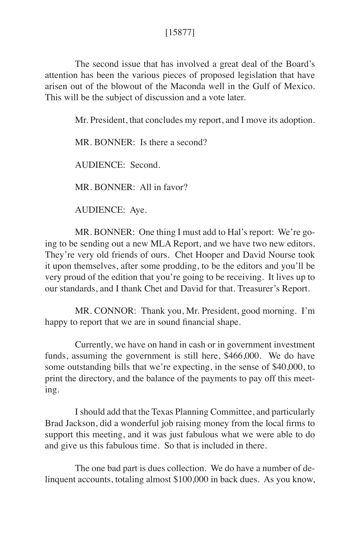## [15877]

The second issue that has involved a great deal of the Board's attention has been the various pieces of proposed legislation that have arisen out of the blowout of the Maconda well in the Gulf of Mexico. This will be the subject of discussion and a vote later.

Mr. President, that concludes my report, and I move its adoption.

MR. BONNER: Is there a second?

AUDIENCE: Second.

MR. BONNER: All in favor?

AUDIENCE: Aye.

MR. BONNER: One thing I must add to Hal's report: We're going to be sending out a new MLA Report, and we have two new editors. They're very old friends of ours. Chet Hooper and David Nourse took it upon themselves, after some prodding, to be the editors and you'll be very proud of the edition that you're going to be receiving. It lives up to our standards, and I thank Chet and David for that. Treasurer's Report.

MR. CONNOR: Thank you, Mr. President, good morning. I'm happy to report that we are in sound financial shape.

Currently, we have on hand in cash or in government investment funds, assuming the government is still here, \$466,000. We do have some outstanding bills that we're expecting, in the sense of \$40,000, to print the directory, and the balance of the payments to pay off this meeting.

I should add that the Texas Planning Committee, and particularly Brad Jackson, did a wonderful job raising money from the local firms to support this meeting, and it was just fabulous what we were able to do and give us this fabulous time. So that is included in there.

The one bad part is dues collection. We do have a number of delinquent accounts, totaling almost \$100,000 in back dues. As you know,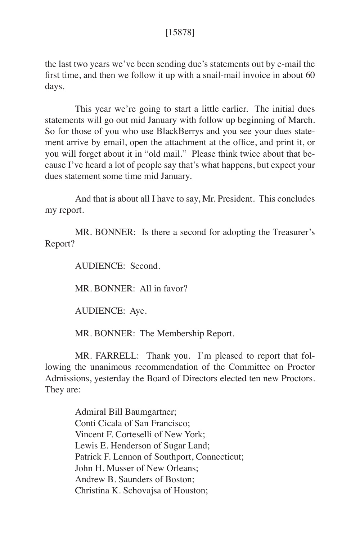#### [15878]

the last two years we've been sending due's statements out by e-mail the first time, and then we follow it up with a snail-mail invoice in about 60 days.

This year we're going to start a little earlier. The initial dues statements will go out mid January with follow up beginning of March. So for those of you who use BlackBerrys and you see your dues statement arrive by email, open the attachment at the office, and print it, or you will forget about it in "old mail." Please think twice about that because I've heard a lot of people say that's what happens, but expect your dues statement some time mid January.

And that is about all I have to say, Mr. President. This concludes my report.

MR. BONNER: Is there a second for adopting the Treasurer's Report?

AUDIENCE: Second.

MR. BONNER: All in favor?

AUDIENCE: Aye.

MR. BONNER: The Membership Report.

MR. FARRELL: Thank you. I'm pleased to report that following the unanimous recommendation of the Committee on Proctor Admissions, yesterday the Board of Directors elected ten new Proctors. They are:

> Admiral Bill Baumgartner; Conti Cicala of San Francisco; Vincent F. Corteselli of New York; Lewis E. Henderson of Sugar Land; Patrick F. Lennon of Southport, Connecticut; John H. Musser of New Orleans; Andrew B. Saunders of Boston; Christina K. Schovajsa of Houston;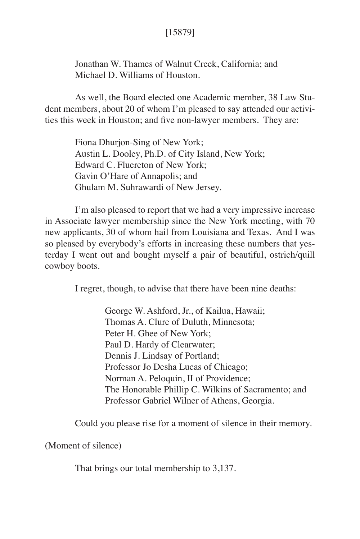## [15879]

Jonathan W. Thames of Walnut Creek, California; and Michael D. Williams of Houston.

As well, the Board elected one Academic member, 38 Law Student members, about 20 of whom I'm pleased to say attended our activities this week in Houston; and five non-lawyer members. They are:

> Fiona Dhurjon-Sing of New York; Austin L. Dooley, Ph.D. of City Island, New York; Edward C. Fluereton of New York; Gavin O'Hare of Annapolis; and Ghulam M. Suhrawardi of New Jersey.

I'm also pleased to report that we had a very impressive increase in Associate lawyer membership since the New York meeting, with 70 new applicants, 30 of whom hail from Louisiana and Texas. And I was so pleased by everybody's efforts in increasing these numbers that yesterday I went out and bought myself a pair of beautiful, ostrich/quill cowboy boots.

I regret, though, to advise that there have been nine deaths:

 George W. Ashford, Jr., of Kailua, Hawaii; Thomas A. Clure of Duluth, Minnesota; Peter H. Ghee of New York; Paul D. Hardy of Clearwater; Dennis J. Lindsay of Portland; Professor Jo Desha Lucas of Chicago; Norman A. Peloquin, II of Providence; The Honorable Phillip C. Wilkins of Sacramento; and Professor Gabriel Wilner of Athens, Georgia.

Could you please rise for a moment of silence in their memory.

(Moment of silence)

That brings our total membership to 3,137.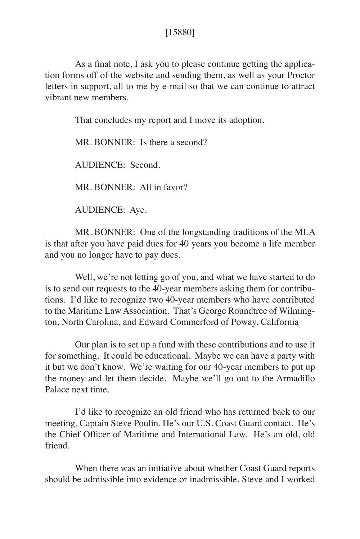### [15880]

As a final note, I ask you to please continue getting the application forms off of the website and sending them, as well as your Proctor letters in support, all to me by e-mail so that we can continue to attract vibrant new members.

That concludes my report and I move its adoption.

MR. BONNER: Is there a second?

AUDIENCE: Second.

MR. BONNER: All in favor?

AUDIENCE: Aye.

MR. BONNER: One of the longstanding traditions of the MLA is that after you have paid dues for 40 years you become a life member and you no longer have to pay dues.

Well, we're not letting go of you, and what we have started to do is to send out requests to the 40-year members asking them for contributions. I'd like to recognize two 40-year members who have contributed to the Maritime Law Association. That's George Roundtree of Wilmington, North Carolina, and Edward Commerford of Poway, California

Our plan is to set up a fund with these contributions and to use it for something. It could be educational. Maybe we can have a party with it but we don't know. We're waiting for our 40-year members to put up the money and let them decide. Maybe we'll go out to the Armadillo Palace next time.

I'd like to recognize an old friend who has returned back to our meeting, Captain Steve Poulin. He's our U.S. Coast Guard contact. He's the Chief Officer of Maritime and International Law. He's an old, old friend.

When there was an initiative about whether Coast Guard reports should be admissible into evidence or inadmissible, Steve and I worked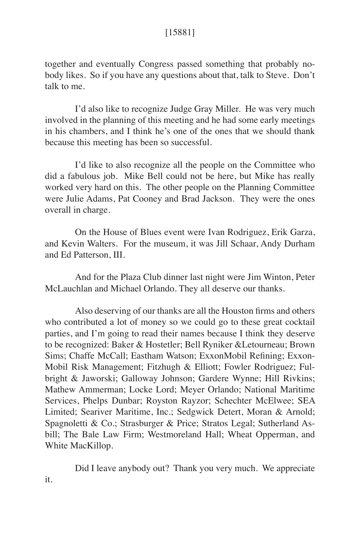## [15881]

together and eventually Congress passed something that probably nobody likes. So if you have any questions about that, talk to Steve. Don't talk to me.

I'd also like to recognize Judge Gray Miller. He was very much involved in the planning of this meeting and he had some early meetings in his chambers, and I think he's one of the ones that we should thank because this meeting has been so successful.

I'd like to also recognize all the people on the Committee who did a fabulous job. Mike Bell could not be here, but Mike has really worked very hard on this. The other people on the Planning Committee were Julie Adams, Pat Cooney and Brad Jackson. They were the ones overall in charge.

On the House of Blues event were Ivan Rodriguez, Erik Garza, and Kevin Walters. For the museum, it was Jill Schaar, Andy Durham and Ed Patterson, III.

And for the Plaza Club dinner last night were Jim Winton, Peter McLauchlan and Michael Orlando. They all deserve our thanks.

Also deserving of our thanks are all the Houston firms and others who contributed a lot of money so we could go to these great cocktail parties, and I'm going to read their names because I think they deserve to be recognized: Baker & Hostetler; Bell Ryniker &Letourneau; Brown Sims; Chaffe McCall; Eastham Watson; ExxonMobil Refining; Exxon-Mobil Risk Management; Fitzhugh & Elliott; Fowler Rodriguez; Fulbright & Jaworski; Galloway Johnson; Gardere Wynne; Hill Rivkins; Mathew Ammerman; Locke Lord; Meyer Orlando; National Maritime Services, Phelps Dunbar; Royston Rayzor; Schechter McElwee; SEA Limited; Seariver Maritime, Inc.; Sedgwick Detert, Moran & Arnold; Spagnoletti & Co.; Strasburger & Price; Stratos Legal; Sutherland Asbill; The Bale Law Firm; Westmoreland Hall; Wheat Opperman, and White MacKillop.

Did I leave anybody out? Thank you very much. We appreciate it.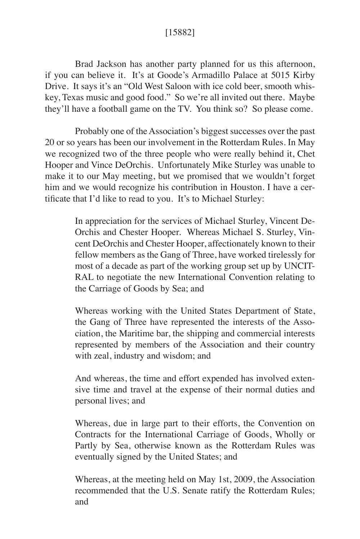## [15882]

Brad Jackson has another party planned for us this afternoon, if you can believe it. It's at Goode's Armadillo Palace at 5015 Kirby Drive. It says it's an "Old West Saloon with ice cold beer, smooth whiskey, Texas music and good food." So we're all invited out there. Maybe they'll have a football game on the TV. You think so? So please come.

Probably one of the Association's biggest successes over the past 20 or so years has been our involvement in the Rotterdam Rules. In May we recognized two of the three people who were really behind it, Chet Hooper and Vince DeOrchis. Unfortunately Mike Sturley was unable to make it to our May meeting, but we promised that we wouldn't forget him and we would recognize his contribution in Houston. I have a certificate that I'd like to read to you. It's to Michael Sturley:

> In appreciation for the services of Michael Sturley, Vincent De-Orchis and Chester Hooper. Whereas Michael S. Sturley, Vincent DeOrchis and Chester Hooper, affectionately known to their fellow members as the Gang of Three, have worked tirelessly for most of a decade as part of the working group set up by UNCIT-RAL to negotiate the new International Convention relating to the Carriage of Goods by Sea; and

> Whereas working with the United States Department of State, the Gang of Three have represented the interests of the Association, the Maritime bar, the shipping and commercial interests represented by members of the Association and their country with zeal, industry and wisdom; and

> And whereas, the time and effort expended has involved extensive time and travel at the expense of their normal duties and personal lives; and

> Whereas, due in large part to their efforts, the Convention on Contracts for the International Carriage of Goods, Wholly or Partly by Sea, otherwise known as the Rotterdam Rules was eventually signed by the United States; and

> Whereas, at the meeting held on May 1st, 2009, the Association recommended that the U.S. Senate ratify the Rotterdam Rules; and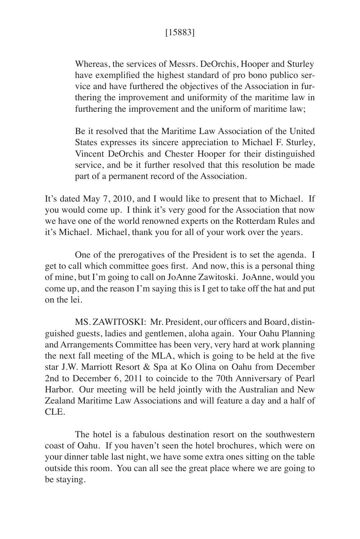## [15883]

Whereas, the services of Messrs. DeOrchis, Hooper and Sturley have exemplified the highest standard of pro bono publico service and have furthered the objectives of the Association in furthering the improvement and uniformity of the maritime law in furthering the improvement and the uniform of maritime law;

Be it resolved that the Maritime Law Association of the United States expresses its sincere appreciation to Michael F. Sturley, Vincent DeOrchis and Chester Hooper for their distinguished service, and be it further resolved that this resolution be made part of a permanent record of the Association.

It's dated May 7, 2010, and I would like to present that to Michael. If you would come up. I think it's very good for the Association that now we have one of the world renowned experts on the Rotterdam Rules and it's Michael. Michael, thank you for all of your work over the years.

One of the prerogatives of the President is to set the agenda. I get to call which committee goes first. And now, this is a personal thing of mine, but I'm going to call on JoAnne Zawitoski. JoAnne, would you come up, and the reason I'm saying this is I get to take off the hat and put on the lei.

MS. ZAWITOSKI: Mr. President, our officers and Board, distinguished guests, ladies and gentlemen, aloha again. Your Oahu Planning and Arrangements Committee has been very, very hard at work planning the next fall meeting of the MLA, which is going to be held at the five star J.W. Marriott Resort & Spa at Ko Olina on Oahu from December 2nd to December 6, 2011 to coincide to the 70th Anniversary of Pearl Harbor. Our meeting will be held jointly with the Australian and New Zealand Maritime Law Associations and will feature a day and a half of CLE.

The hotel is a fabulous destination resort on the southwestern coast of Oahu. If you haven't seen the hotel brochures, which were on your dinner table last night, we have some extra ones sitting on the table outside this room. You can all see the great place where we are going to be staying.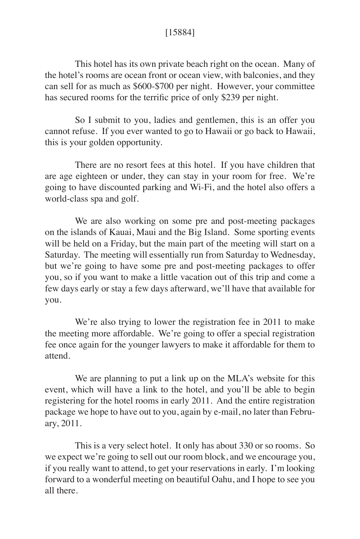## [15884]

This hotel has its own private beach right on the ocean. Many of the hotel's rooms are ocean front or ocean view, with balconies, and they can sell for as much as \$600-\$700 per night. However, your committee has secured rooms for the terrific price of only \$239 per night.

So I submit to you, ladies and gentlemen, this is an offer you cannot refuse. If you ever wanted to go to Hawaii or go back to Hawaii, this is your golden opportunity.

There are no resort fees at this hotel. If you have children that are age eighteen or under, they can stay in your room for free. We're going to have discounted parking and Wi-Fi, and the hotel also offers a world-class spa and golf.

We are also working on some pre and post-meeting packages on the islands of Kauai, Maui and the Big Island. Some sporting events will be held on a Friday, but the main part of the meeting will start on a Saturday. The meeting will essentially run from Saturday to Wednesday, but we're going to have some pre and post-meeting packages to offer you, so if you want to make a little vacation out of this trip and come a few days early or stay a few days afterward, we'll have that available for you.

We're also trying to lower the registration fee in 2011 to make the meeting more affordable. We're going to offer a special registration fee once again for the younger lawyers to make it affordable for them to attend.

We are planning to put a link up on the MLA's website for this event, which will have a link to the hotel, and you'll be able to begin registering for the hotel rooms in early 2011. And the entire registration package we hope to have out to you, again by e-mail, no later than February, 2011.

This is a very select hotel. It only has about 330 or so rooms. So we expect we're going to sell out our room block, and we encourage you, if you really want to attend, to get your reservations in early. I'm looking forward to a wonderful meeting on beautiful Oahu, and I hope to see you all there.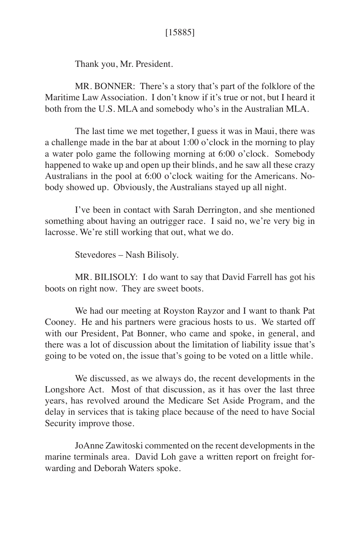Thank you, Mr. President.

MR. BONNER: There's a story that's part of the folklore of the Maritime Law Association. I don't know if it's true or not, but I heard it both from the U.S. MLA and somebody who's in the Australian MLA.

The last time we met together, I guess it was in Maui, there was a challenge made in the bar at about 1:00 o'clock in the morning to play a water polo game the following morning at 6:00 o'clock. Somebody happened to wake up and open up their blinds, and he saw all these crazy Australians in the pool at 6:00 o'clock waiting for the Americans. Nobody showed up. Obviously, the Australians stayed up all night.

I've been in contact with Sarah Derrington, and she mentioned something about having an outrigger race. I said no, we're very big in lacrosse. We're still working that out, what we do.

Stevedores – Nash Bilisoly.

MR. BILISOLY: I do want to say that David Farrell has got his boots on right now. They are sweet boots.

We had our meeting at Royston Rayzor and I want to thank Pat Cooney. He and his partners were gracious hosts to us. We started off with our President, Pat Bonner, who came and spoke, in general, and there was a lot of discussion about the limitation of liability issue that's going to be voted on, the issue that's going to be voted on a little while.

We discussed, as we always do, the recent developments in the Longshore Act. Most of that discussion, as it has over the last three years, has revolved around the Medicare Set Aside Program, and the delay in services that is taking place because of the need to have Social Security improve those.

JoAnne Zawitoski commented on the recent developments in the marine terminals area. David Loh gave a written report on freight forwarding and Deborah Waters spoke.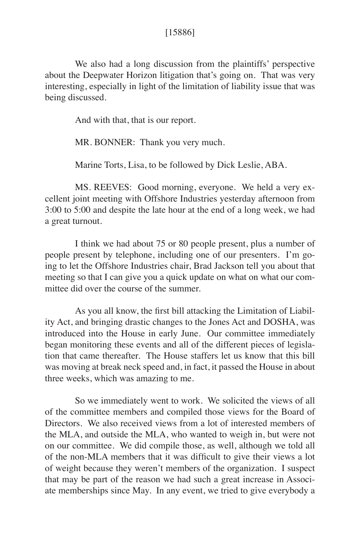#### [15886]

We also had a long discussion from the plaintiffs' perspective about the Deepwater Horizon litigation that's going on. That was very interesting, especially in light of the limitation of liability issue that was being discussed.

And with that, that is our report.

MR. BONNER: Thank you very much.

Marine Torts, Lisa, to be followed by Dick Leslie, ABA.

MS. REEVES: Good morning, everyone. We held a very excellent joint meeting with Offshore Industries yesterday afternoon from 3:00 to 5:00 and despite the late hour at the end of a long week, we had a great turnout.

I think we had about 75 or 80 people present, plus a number of people present by telephone, including one of our presenters. I'm going to let the Offshore Industries chair, Brad Jackson tell you about that meeting so that I can give you a quick update on what on what our committee did over the course of the summer.

As you all know, the first bill attacking the Limitation of Liability Act, and bringing drastic changes to the Jones Act and DOSHA, was introduced into the House in early June. Our committee immediately began monitoring these events and all of the different pieces of legislation that came thereafter. The House staffers let us know that this bill was moving at break neck speed and, in fact, it passed the House in about three weeks, which was amazing to me.

So we immediately went to work. We solicited the views of all of the committee members and compiled those views for the Board of Directors. We also received views from a lot of interested members of the MLA, and outside the MLA, who wanted to weigh in, but were not on our committee. We did compile those, as well, although we told all of the non-MLA members that it was difficult to give their views a lot of weight because they weren't members of the organization. I suspect that may be part of the reason we had such a great increase in Associate memberships since May. In any event, we tried to give everybody a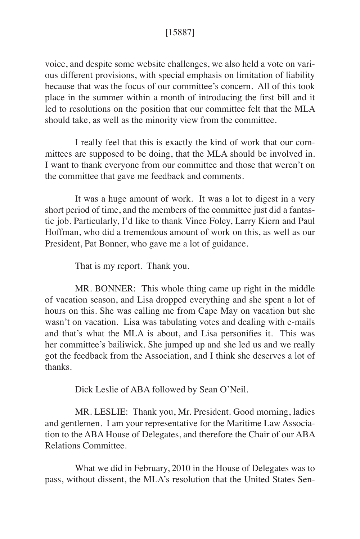voice, and despite some website challenges, we also held a vote on various different provisions, with special emphasis on limitation of liability because that was the focus of our committee's concern. All of this took place in the summer within a month of introducing the first bill and it led to resolutions on the position that our committee felt that the MLA should take, as well as the minority view from the committee.

I really feel that this is exactly the kind of work that our committees are supposed to be doing, that the MLA should be involved in. I want to thank everyone from our committee and those that weren't on the committee that gave me feedback and comments.

It was a huge amount of work. It was a lot to digest in a very short period of time, and the members of the committee just did a fantastic job. Particularly, I'd like to thank Vince Foley, Larry Kiern and Paul Hoffman, who did a tremendous amount of work on this, as well as our President, Pat Bonner, who gave me a lot of guidance.

That is my report. Thank you.

MR. BONNER: This whole thing came up right in the middle of vacation season, and Lisa dropped everything and she spent a lot of hours on this. She was calling me from Cape May on vacation but she wasn't on vacation. Lisa was tabulating votes and dealing with e-mails and that's what the MLA is about, and Lisa personifies it. This was her committee's bailiwick. She jumped up and she led us and we really got the feedback from the Association, and I think she deserves a lot of thanks.

Dick Leslie of ABA followed by Sean O'Neil.

MR. LESLIE: Thank you, Mr. President. Good morning, ladies and gentlemen. I am your representative for the Maritime Law Association to the ABA House of Delegates, and therefore the Chair of our ABA Relations Committee.

What we did in February, 2010 in the House of Delegates was to pass, without dissent, the MLA's resolution that the United States Sen-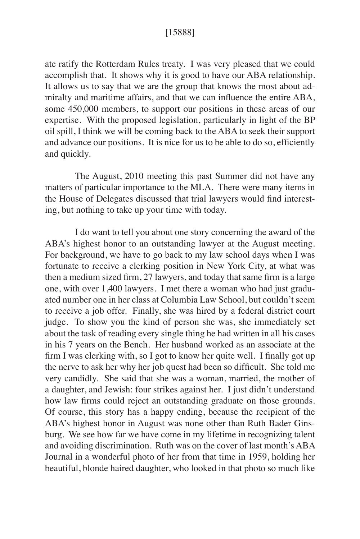#### [15888]

ate ratify the Rotterdam Rules treaty. I was very pleased that we could accomplish that. It shows why it is good to have our ABA relationship. It allows us to say that we are the group that knows the most about admiralty and maritime affairs, and that we can influence the entire ABA, some 450,000 members, to support our positions in these areas of our expertise. With the proposed legislation, particularly in light of the BP oil spill, I think we will be coming back to the ABA to seek their support and advance our positions. It is nice for us to be able to do so, efficiently and quickly.

The August, 2010 meeting this past Summer did not have any matters of particular importance to the MLA. There were many items in the House of Delegates discussed that trial lawyers would find interesting, but nothing to take up your time with today.

I do want to tell you about one story concerning the award of the ABA's highest honor to an outstanding lawyer at the August meeting. For background, we have to go back to my law school days when I was fortunate to receive a clerking position in New York City, at what was then a medium sized firm, 27 lawyers, and today that same firm is a large one, with over 1,400 lawyers. I met there a woman who had just graduated number one in her class at Columbia Law School, but couldn't seem to receive a job offer. Finally, she was hired by a federal district court judge. To show you the kind of person she was, she immediately set about the task of reading every single thing he had written in all his cases in his 7 years on the Bench. Her husband worked as an associate at the firm I was clerking with, so I got to know her quite well. I finally got up the nerve to ask her why her job quest had been so difficult. She told me very candidly. She said that she was a woman, married, the mother of a daughter, and Jewish: four strikes against her. I just didn't understand how law firms could reject an outstanding graduate on those grounds. Of course, this story has a happy ending, because the recipient of the ABA's highest honor in August was none other than Ruth Bader Ginsburg. We see how far we have come in my lifetime in recognizing talent and avoiding discrimination. Ruth was on the cover of last month's ABA Journal in a wonderful photo of her from that time in 1959, holding her beautiful, blonde haired daughter, who looked in that photo so much like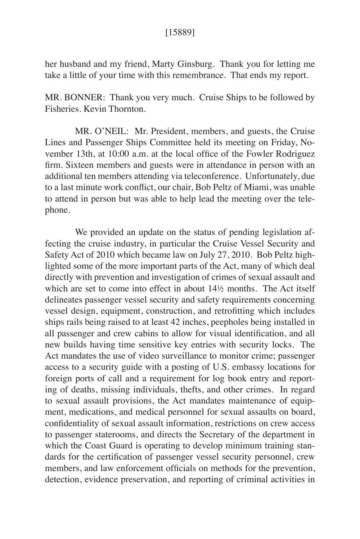#### [15889]

her husband and my friend, Marty Ginsburg. Thank you for letting me take a little of your time with this remembrance. That ends my report.

MR. BONNER: Thank you very much. Cruise Ships to be followed by Fisheries. Kevin Thornton.

MR. O'NEIL: Mr. President, members, and guests, the Cruise Lines and Passenger Ships Committee held its meeting on Friday, November 13th, at 10:00 a.m. at the local office of the Fowler Rodriguez firm. Sixteen members and guests were in attendance in person with an additional ten members attending via teleconference. Unfortunately, due to a last minute work conflict, our chair, Bob Peltz of Miami, was unable to attend in person but was able to help lead the meeting over the telephone.

We provided an update on the status of pending legislation affecting the cruise industry, in particular the Cruise Vessel Security and Safety Act of 2010 which became law on July 27, 2010. Bob Peltz highlighted some of the more important parts of the Act, many of which deal directly with prevention and investigation of crimes of sexual assault and which are set to come into effect in about 14½ months. The Act itself delineates passenger vessel security and safety requirements concerning vessel design, equipment, construction, and retrofitting which includes ships rails being raised to at least 42 inches, peepholes being installed in all passenger and crew cabins to allow for visual identification, and all new builds having time sensitive key entries with security locks. The Act mandates the use of video surveillance to monitor crime; passenger access to a security guide with a posting of U.S. embassy locations for foreign ports of call and a requirement for log book entry and reporting of deaths, missing individuals, thefts, and other crimes. In regard to sexual assault provisions, the Act mandates maintenance of equipment, medications, and medical personnel for sexual assaults on board, confidentiality of sexual assault information, restrictions on crew access to passenger staterooms, and directs the Secretary of the department in which the Coast Guard is operating to develop minimum training standards for the certification of passenger vessel security personnel, crew members, and law enforcement officials on methods for the prevention, detection, evidence preservation, and reporting of criminal activities in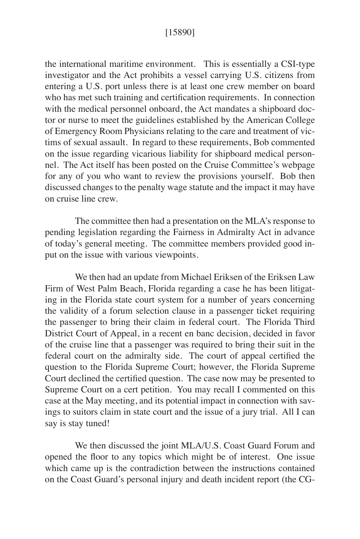#### [15890]

the international maritime environment. This is essentially a CSI-type investigator and the Act prohibits a vessel carrying U.S. citizens from entering a U.S. port unless there is at least one crew member on board who has met such training and certification requirements. In connection with the medical personnel onboard, the Act mandates a shipboard doctor or nurse to meet the guidelines established by the American College of Emergency Room Physicians relating to the care and treatment of victims of sexual assault. In regard to these requirements, Bob commented on the issue regarding vicarious liability for shipboard medical personnel. The Act itself has been posted on the Cruise Committee's webpage for any of you who want to review the provisions yourself. Bob then discussed changes to the penalty wage statute and the impact it may have on cruise line crew.

The committee then had a presentation on the MLA's response to pending legislation regarding the Fairness in Admiralty Act in advance of today's general meeting. The committee members provided good input on the issue with various viewpoints.

We then had an update from Michael Eriksen of the Eriksen Law Firm of West Palm Beach, Florida regarding a case he has been litigating in the Florida state court system for a number of years concerning the validity of a forum selection clause in a passenger ticket requiring the passenger to bring their claim in federal court. The Florida Third District Court of Appeal, in a recent en banc decision, decided in favor of the cruise line that a passenger was required to bring their suit in the federal court on the admiralty side. The court of appeal certified the question to the Florida Supreme Court; however, the Florida Supreme Court declined the certified question. The case now may be presented to Supreme Court on a cert petition. You may recall I commented on this case at the May meeting, and its potential impact in connection with savings to suitors claim in state court and the issue of a jury trial. All I can say is stay tuned!

We then discussed the joint MLA/U.S. Coast Guard Forum and opened the floor to any topics which might be of interest. One issue which came up is the contradiction between the instructions contained on the Coast Guard's personal injury and death incident report (the CG-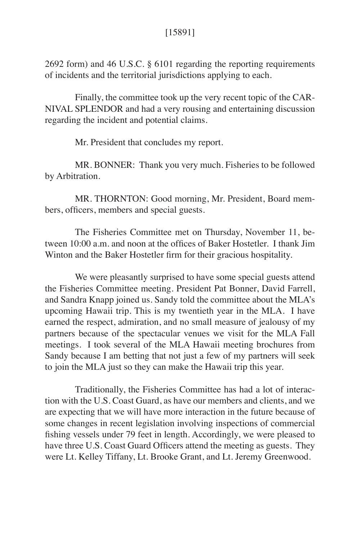2692 form) and 46 U.S.C. § 6101 regarding the reporting requirements of incidents and the territorial jurisdictions applying to each.

Finally, the committee took up the very recent topic of the CAR-NIVAL SPLENDOR and had a very rousing and entertaining discussion regarding the incident and potential claims.

Mr. President that concludes my report.

MR. BONNER: Thank you very much. Fisheries to be followed by Arbitration.

MR. THORNTON: Good morning, Mr. President, Board members, officers, members and special guests.

The Fisheries Committee met on Thursday, November 11, between 10:00 a.m. and noon at the offices of Baker Hostetler. I thank Jim Winton and the Baker Hostetler firm for their gracious hospitality.

We were pleasantly surprised to have some special guests attend the Fisheries Committee meeting. President Pat Bonner, David Farrell, and Sandra Knapp joined us. Sandy told the committee about the MLA's upcoming Hawaii trip. This is my twentieth year in the MLA. I have earned the respect, admiration, and no small measure of jealousy of my partners because of the spectacular venues we visit for the MLA Fall meetings. I took several of the MLA Hawaii meeting brochures from Sandy because I am betting that not just a few of my partners will seek to join the MLA just so they can make the Hawaii trip this year.

Traditionally, the Fisheries Committee has had a lot of interaction with the U.S. Coast Guard, as have our members and clients, and we are expecting that we will have more interaction in the future because of some changes in recent legislation involving inspections of commercial fishing vessels under 79 feet in length. Accordingly, we were pleased to have three U.S. Coast Guard Officers attend the meeting as guests. They were Lt. Kelley Tiffany, Lt. Brooke Grant, and Lt. Jeremy Greenwood.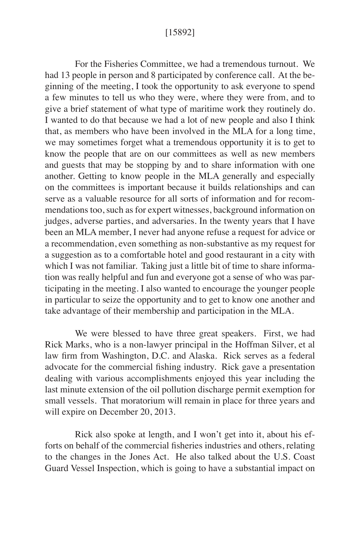#### [15892]

For the Fisheries Committee, we had a tremendous turnout. We had 13 people in person and 8 participated by conference call. At the beginning of the meeting, I took the opportunity to ask everyone to spend a few minutes to tell us who they were, where they were from, and to give a brief statement of what type of maritime work they routinely do. I wanted to do that because we had a lot of new people and also I think that, as members who have been involved in the MLA for a long time, we may sometimes forget what a tremendous opportunity it is to get to know the people that are on our committees as well as new members and guests that may be stopping by and to share information with one another. Getting to know people in the MLA generally and especially on the committees is important because it builds relationships and can serve as a valuable resource for all sorts of information and for recommendations too, such as for expert witnesses, background information on judges, adverse parties, and adversaries. In the twenty years that I have been an MLA member, I never had anyone refuse a request for advice or a recommendation, even something as non-substantive as my request for a suggestion as to a comfortable hotel and good restaurant in a city with which I was not familiar. Taking just a little bit of time to share information was really helpful and fun and everyone got a sense of who was participating in the meeting. I also wanted to encourage the younger people in particular to seize the opportunity and to get to know one another and take advantage of their membership and participation in the MLA.

We were blessed to have three great speakers. First, we had Rick Marks, who is a non-lawyer principal in the Hoffman Silver, et al law firm from Washington, D.C. and Alaska. Rick serves as a federal advocate for the commercial fishing industry. Rick gave a presentation dealing with various accomplishments enjoyed this year including the last minute extension of the oil pollution discharge permit exemption for small vessels. That moratorium will remain in place for three years and will expire on December 20, 2013.

Rick also spoke at length, and I won't get into it, about his efforts on behalf of the commercial fisheries industries and others, relating to the changes in the Jones Act. He also talked about the U.S. Coast Guard Vessel Inspection, which is going to have a substantial impact on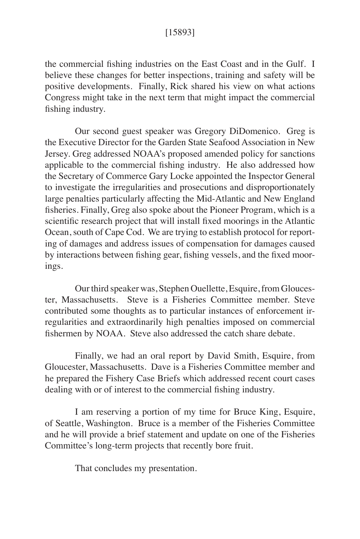## [15893]

the commercial fishing industries on the East Coast and in the Gulf. I believe these changes for better inspections, training and safety will be positive developments. Finally, Rick shared his view on what actions Congress might take in the next term that might impact the commercial fishing industry.

Our second guest speaker was Gregory DiDomenico. Greg is the Executive Director for the Garden State Seafood Association in New Jersey. Greg addressed NOAA's proposed amended policy for sanctions applicable to the commercial fishing industry. He also addressed how the Secretary of Commerce Gary Locke appointed the Inspector General to investigate the irregularities and prosecutions and disproportionately large penalties particularly affecting the Mid-Atlantic and New England fisheries. Finally, Greg also spoke about the Pioneer Program, which is a scientific research project that will install fixed moorings in the Atlantic Ocean, south of Cape Cod. We are trying to establish protocol for reporting of damages and address issues of compensation for damages caused by interactions between fishing gear, fishing vessels, and the fixed moorings.

Our third speaker was, Stephen Ouellette, Esquire, from Gloucester, Massachusetts. Steve is a Fisheries Committee member. Steve contributed some thoughts as to particular instances of enforcement irregularities and extraordinarily high penalties imposed on commercial fishermen by NOAA. Steve also addressed the catch share debate.

Finally, we had an oral report by David Smith, Esquire, from Gloucester, Massachusetts. Dave is a Fisheries Committee member and he prepared the Fishery Case Briefs which addressed recent court cases dealing with or of interest to the commercial fishing industry.

I am reserving a portion of my time for Bruce King, Esquire, of Seattle, Washington. Bruce is a member of the Fisheries Committee and he will provide a brief statement and update on one of the Fisheries Committee's long-term projects that recently bore fruit.

That concludes my presentation.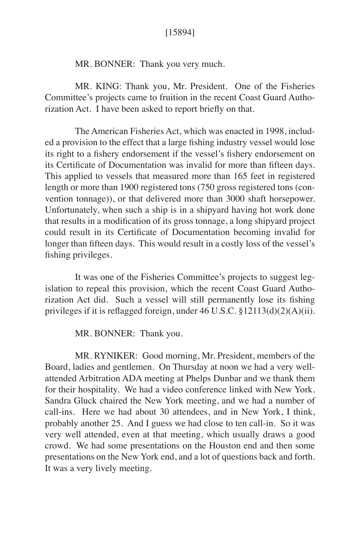### [15894]

MR. BONNER: Thank you very much.

MR. KING: Thank you, Mr. President. One of the Fisheries Committee's projects came to fruition in the recent Coast Guard Authorization Act. I have been asked to report briefly on that.

The American Fisheries Act, which was enacted in 1998, included a provision to the effect that a large fishing industry vessel would lose its right to a fishery endorsement if the vessel's fishery endorsement on its Certificate of Documentation was invalid for more than fifteen days. This applied to vessels that measured more than 165 feet in registered length or more than 1900 registered tons (750 gross registered tons (convention tonnage)), or that delivered more than 3000 shaft horsepower. Unfortunately, when such a ship is in a shipyard having hot work done that results in a modification of its gross tonnage, a long shipyard project could result in its Certificate of Documentation becoming invalid for longer than fifteen days. This would result in a costly loss of the vessel's fishing privileges.

It was one of the Fisheries Committee's projects to suggest legislation to repeal this provision, which the recent Coast Guard Authorization Act did. Such a vessel will still permanently lose its fishing privileges if it is reflagged foreign, under 46 U.S.C. §12113(d)(2)(A)(ii).

MR. BONNER: Thank you.

MR. RYNIKER: Good morning, Mr. President, members of the Board, ladies and gentlemen. On Thursday at noon we had a very wellattended Arbitration ADA meeting at Phelps Dunbar and we thank them for their hospitality. We had a video conference linked with New York. Sandra Gluck chaired the New York meeting, and we had a number of call-ins. Here we had about 30 attendees, and in New York, I think, probably another 25. And I guess we had close to ten call-in. So it was very well attended, even at that meeting, which usually draws a good crowd. We had some presentations on the Houston end and then some presentations on the New York end, and a lot of questions back and forth. It was a very lively meeting.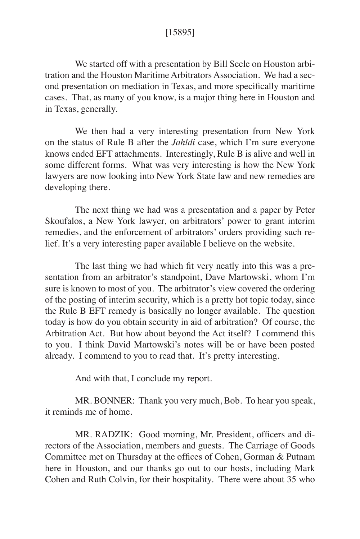## [15895]

We started off with a presentation by Bill Seele on Houston arbitration and the Houston Maritime Arbitrators Association. We had a second presentation on mediation in Texas, and more specifically maritime cases. That, as many of you know, is a major thing here in Houston and in Texas, generally.

We then had a very interesting presentation from New York on the status of Rule B after the *Jahldi* case, which I'm sure everyone knows ended EFT attachments. Interestingly, Rule B is alive and well in some different forms. What was very interesting is how the New York lawyers are now looking into New York State law and new remedies are developing there.

The next thing we had was a presentation and a paper by Peter Skoufalos, a New York lawyer, on arbitrators' power to grant interim remedies, and the enforcement of arbitrators' orders providing such relief. It's a very interesting paper available I believe on the website.

The last thing we had which fit very neatly into this was a presentation from an arbitrator's standpoint, Dave Martowski, whom I'm sure is known to most of you. The arbitrator's view covered the ordering of the posting of interim security, which is a pretty hot topic today, since the Rule B EFT remedy is basically no longer available. The question today is how do you obtain security in aid of arbitration? Of course, the Arbitration Act. But how about beyond the Act itself? I commend this to you. I think David Martowski's notes will be or have been posted already. I commend to you to read that. It's pretty interesting.

And with that, I conclude my report.

MR. BONNER: Thank you very much, Bob. To hear you speak, it reminds me of home.

MR. RADZIK: Good morning, Mr. President, officers and directors of the Association, members and guests. The Carriage of Goods Committee met on Thursday at the offices of Cohen, Gorman & Putnam here in Houston, and our thanks go out to our hosts, including Mark Cohen and Ruth Colvin, for their hospitality. There were about 35 who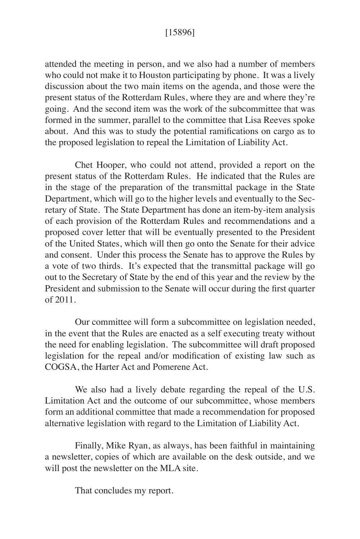## [15896]

attended the meeting in person, and we also had a number of members who could not make it to Houston participating by phone. It was a lively discussion about the two main items on the agenda, and those were the present status of the Rotterdam Rules, where they are and where they're going. And the second item was the work of the subcommittee that was formed in the summer, parallel to the committee that Lisa Reeves spoke about. And this was to study the potential ramifications on cargo as to the proposed legislation to repeal the Limitation of Liability Act.

Chet Hooper, who could not attend, provided a report on the present status of the Rotterdam Rules. He indicated that the Rules are in the stage of the preparation of the transmittal package in the State Department, which will go to the higher levels and eventually to the Secretary of State. The State Department has done an item-by-item analysis of each provision of the Rotterdam Rules and recommendations and a proposed cover letter that will be eventually presented to the President of the United States, which will then go onto the Senate for their advice and consent. Under this process the Senate has to approve the Rules by a vote of two thirds. It's expected that the transmittal package will go out to the Secretary of State by the end of this year and the review by the President and submission to the Senate will occur during the first quarter of 2011.

Our committee will form a subcommittee on legislation needed, in the event that the Rules are enacted as a self executing treaty without the need for enabling legislation. The subcommittee will draft proposed legislation for the repeal and/or modification of existing law such as COGSA, the Harter Act and Pomerene Act.

We also had a lively debate regarding the repeal of the U.S. Limitation Act and the outcome of our subcommittee, whose members form an additional committee that made a recommendation for proposed alternative legislation with regard to the Limitation of Liability Act.

Finally, Mike Ryan, as always, has been faithful in maintaining a newsletter, copies of which are available on the desk outside, and we will post the newsletter on the MLA site.

That concludes my report.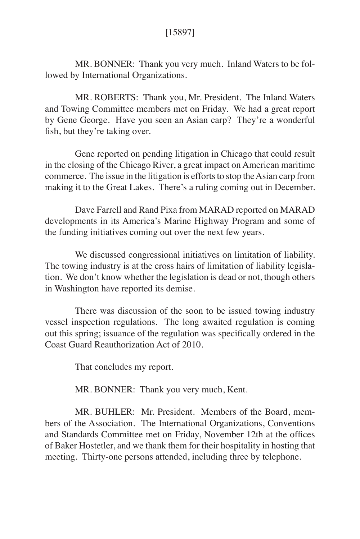MR. BONNER: Thank you very much. Inland Waters to be followed by International Organizations.

MR. ROBERTS: Thank you, Mr. President. The Inland Waters and Towing Committee members met on Friday. We had a great report by Gene George. Have you seen an Asian carp? They're a wonderful fish, but they're taking over.

Gene reported on pending litigation in Chicago that could result in the closing of the Chicago River, a great impact on American maritime commerce. The issue in the litigation is efforts to stop the Asian carp from making it to the Great Lakes. There's a ruling coming out in December.

Dave Farrell and Rand Pixa from MARAD reported on MARAD developments in its America's Marine Highway Program and some of the funding initiatives coming out over the next few years.

We discussed congressional initiatives on limitation of liability. The towing industry is at the cross hairs of limitation of liability legislation. We don't know whether the legislation is dead or not, though others in Washington have reported its demise.

There was discussion of the soon to be issued towing industry vessel inspection regulations. The long awaited regulation is coming out this spring; issuance of the regulation was specifically ordered in the Coast Guard Reauthorization Act of 2010.

That concludes my report.

MR. BONNER: Thank you very much, Kent.

MR. BUHLER: Mr. President. Members of the Board, members of the Association. The International Organizations, Conventions and Standards Committee met on Friday, November 12th at the offices of Baker Hostetler, and we thank them for their hospitality in hosting that meeting. Thirty-one persons attended, including three by telephone.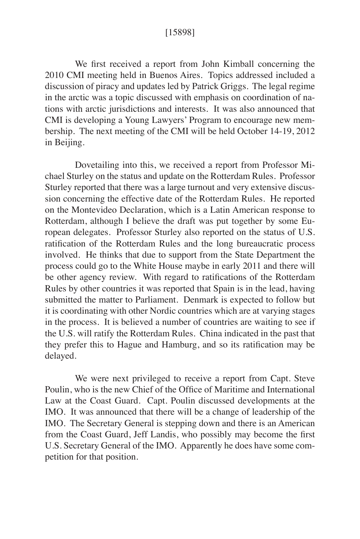We first received a report from John Kimball concerning the 2010 CMI meeting held in Buenos Aires. Topics addressed included a discussion of piracy and updates led by Patrick Griggs. The legal regime in the arctic was a topic discussed with emphasis on coordination of nations with arctic jurisdictions and interests. It was also announced that CMI is developing a Young Lawyers' Program to encourage new membership. The next meeting of the CMI will be held October 14-19, 2012 in Beijing.

Dovetailing into this, we received a report from Professor Michael Sturley on the status and update on the Rotterdam Rules. Professor Sturley reported that there was a large turnout and very extensive discussion concerning the effective date of the Rotterdam Rules. He reported on the Montevideo Declaration, which is a Latin American response to Rotterdam, although I believe the draft was put together by some European delegates. Professor Sturley also reported on the status of U.S. ratification of the Rotterdam Rules and the long bureaucratic process involved. He thinks that due to support from the State Department the process could go to the White House maybe in early 2011 and there will be other agency review. With regard to ratifications of the Rotterdam Rules by other countries it was reported that Spain is in the lead, having submitted the matter to Parliament. Denmark is expected to follow but it is coordinating with other Nordic countries which are at varying stages in the process. It is believed a number of countries are waiting to see if the U.S. will ratify the Rotterdam Rules. China indicated in the past that they prefer this to Hague and Hamburg, and so its ratification may be delayed.

We were next privileged to receive a report from Capt. Steve Poulin, who is the new Chief of the Office of Maritime and International Law at the Coast Guard. Capt. Poulin discussed developments at the IMO. It was announced that there will be a change of leadership of the IMO. The Secretary General is stepping down and there is an American from the Coast Guard, Jeff Landis, who possibly may become the first U.S. Secretary General of the IMO. Apparently he does have some competition for that position.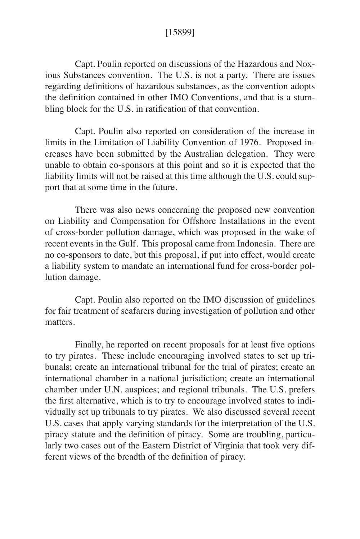### [15899]

Capt. Poulin reported on discussions of the Hazardous and Noxious Substances convention. The U.S. is not a party. There are issues regarding definitions of hazardous substances, as the convention adopts the definition contained in other IMO Conventions, and that is a stumbling block for the U.S. in ratification of that convention.

Capt. Poulin also reported on consideration of the increase in limits in the Limitation of Liability Convention of 1976. Proposed increases have been submitted by the Australian delegation. They were unable to obtain co-sponsors at this point and so it is expected that the liability limits will not be raised at this time although the U.S. could support that at some time in the future.

There was also news concerning the proposed new convention on Liability and Compensation for Offshore Installations in the event of cross-border pollution damage, which was proposed in the wake of recent events in the Gulf. This proposal came from Indonesia. There are no co-sponsors to date, but this proposal, if put into effect, would create a liability system to mandate an international fund for cross-border pollution damage.

Capt. Poulin also reported on the IMO discussion of guidelines for fair treatment of seafarers during investigation of pollution and other matters.

Finally, he reported on recent proposals for at least five options to try pirates. These include encouraging involved states to set up tribunals; create an international tribunal for the trial of pirates; create an international chamber in a national jurisdiction; create an international chamber under U.N. auspices; and regional tribunals. The U.S. prefers the first alternative, which is to try to encourage involved states to individually set up tribunals to try pirates. We also discussed several recent U.S. cases that apply varying standards for the interpretation of the U.S. piracy statute and the definition of piracy. Some are troubling, particularly two cases out of the Eastern District of Virginia that took very different views of the breadth of the definition of piracy.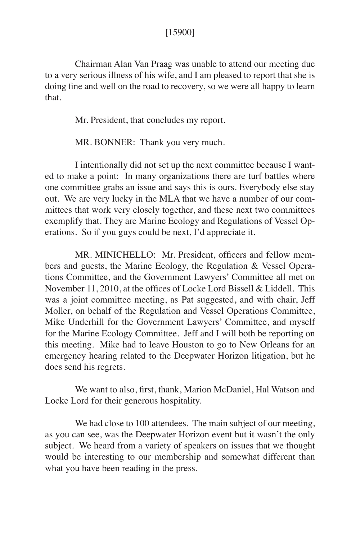#### [15900]

Chairman Alan Van Praag was unable to attend our meeting due to a very serious illness of his wife, and I am pleased to report that she is doing fine and well on the road to recovery, so we were all happy to learn that.

Mr. President, that concludes my report.

MR. BONNER: Thank you very much.

I intentionally did not set up the next committee because I wanted to make a point: In many organizations there are turf battles where one committee grabs an issue and says this is ours. Everybody else stay out. We are very lucky in the MLA that we have a number of our committees that work very closely together, and these next two committees exemplify that. They are Marine Ecology and Regulations of Vessel Operations. So if you guys could be next, I'd appreciate it.

MR. MINICHELLO: Mr. President, officers and fellow members and guests, the Marine Ecology, the Regulation & Vessel Operations Committee, and the Government Lawyers' Committee all met on November 11, 2010, at the offices of Locke Lord Bissell & Liddell. This was a joint committee meeting, as Pat suggested, and with chair, Jeff Moller, on behalf of the Regulation and Vessel Operations Committee, Mike Underhill for the Government Lawyers' Committee, and myself for the Marine Ecology Committee. Jeff and I will both be reporting on this meeting. Mike had to leave Houston to go to New Orleans for an emergency hearing related to the Deepwater Horizon litigation, but he does send his regrets.

We want to also, first, thank, Marion McDaniel, Hal Watson and Locke Lord for their generous hospitality.

We had close to 100 attendees. The main subject of our meeting, as you can see, was the Deepwater Horizon event but it wasn't the only subject. We heard from a variety of speakers on issues that we thought would be interesting to our membership and somewhat different than what you have been reading in the press.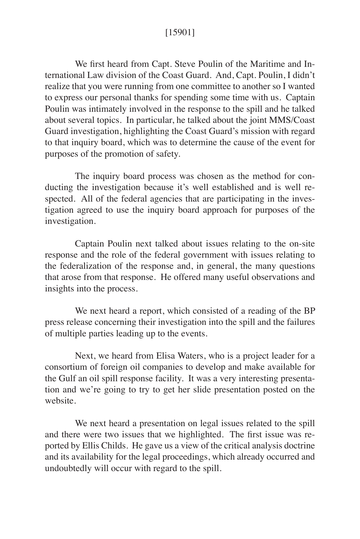## [15901]

We first heard from Capt. Steve Poulin of the Maritime and International Law division of the Coast Guard. And, Capt. Poulin, I didn't realize that you were running from one committee to another so I wanted to express our personal thanks for spending some time with us. Captain Poulin was intimately involved in the response to the spill and he talked about several topics. In particular, he talked about the joint MMS/Coast Guard investigation, highlighting the Coast Guard's mission with regard to that inquiry board, which was to determine the cause of the event for purposes of the promotion of safety.

The inquiry board process was chosen as the method for conducting the investigation because it's well established and is well respected. All of the federal agencies that are participating in the investigation agreed to use the inquiry board approach for purposes of the investigation.

Captain Poulin next talked about issues relating to the on-site response and the role of the federal government with issues relating to the federalization of the response and, in general, the many questions that arose from that response. He offered many useful observations and insights into the process.

We next heard a report, which consisted of a reading of the BP press release concerning their investigation into the spill and the failures of multiple parties leading up to the events.

Next, we heard from Elisa Waters, who is a project leader for a consortium of foreign oil companies to develop and make available for the Gulf an oil spill response facility. It was a very interesting presentation and we're going to try to get her slide presentation posted on the website.

We next heard a presentation on legal issues related to the spill and there were two issues that we highlighted. The first issue was reported by Ellis Childs. He gave us a view of the critical analysis doctrine and its availability for the legal proceedings, which already occurred and undoubtedly will occur with regard to the spill.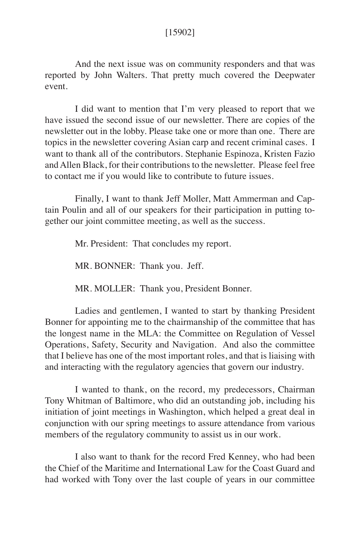### [15902]

And the next issue was on community responders and that was reported by John Walters. That pretty much covered the Deepwater event.

I did want to mention that I'm very pleased to report that we have issued the second issue of our newsletter. There are copies of the newsletter out in the lobby. Please take one or more than one. There are topics in the newsletter covering Asian carp and recent criminal cases. I want to thank all of the contributors. Stephanie Espinoza, Kristen Fazio and Allen Black, for their contributions to the newsletter. Please feel free to contact me if you would like to contribute to future issues.

Finally, I want to thank Jeff Moller, Matt Ammerman and Captain Poulin and all of our speakers for their participation in putting together our joint committee meeting, as well as the success.

Mr. President: That concludes my report.

MR. BONNER: Thank you. Jeff.

MR. MOLLER: Thank you, President Bonner.

Ladies and gentlemen, I wanted to start by thanking President Bonner for appointing me to the chairmanship of the committee that has the longest name in the MLA: the Committee on Regulation of Vessel Operations, Safety, Security and Navigation. And also the committee that I believe has one of the most important roles, and that is liaising with and interacting with the regulatory agencies that govern our industry.

I wanted to thank, on the record, my predecessors, Chairman Tony Whitman of Baltimore, who did an outstanding job, including his initiation of joint meetings in Washington, which helped a great deal in conjunction with our spring meetings to assure attendance from various members of the regulatory community to assist us in our work.

I also want to thank for the record Fred Kenney, who had been the Chief of the Maritime and International Law for the Coast Guard and had worked with Tony over the last couple of years in our committee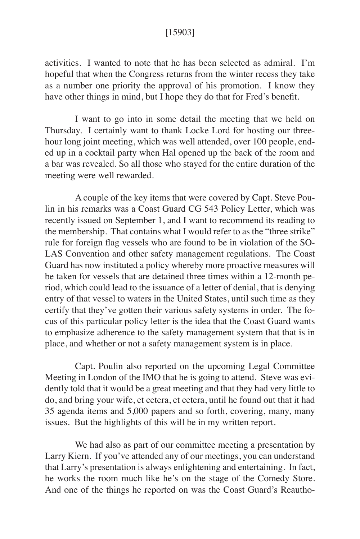#### [15903]

activities. I wanted to note that he has been selected as admiral. I'm hopeful that when the Congress returns from the winter recess they take as a number one priority the approval of his promotion. I know they have other things in mind, but I hope they do that for Fred's benefit.

I want to go into in some detail the meeting that we held on Thursday. I certainly want to thank Locke Lord for hosting our threehour long joint meeting, which was well attended, over 100 people, ended up in a cocktail party when Hal opened up the back of the room and a bar was revealed. So all those who stayed for the entire duration of the meeting were well rewarded.

A couple of the key items that were covered by Capt. Steve Poulin in his remarks was a Coast Guard CG 543 Policy Letter, which was recently issued on September 1, and I want to recommend its reading to the membership. That contains what I would refer to as the "three strike" rule for foreign flag vessels who are found to be in violation of the SO-LAS Convention and other safety management regulations. The Coast Guard has now instituted a policy whereby more proactive measures will be taken for vessels that are detained three times within a 12-month period, which could lead to the issuance of a letter of denial, that is denying entry of that vessel to waters in the United States, until such time as they certify that they've gotten their various safety systems in order. The focus of this particular policy letter is the idea that the Coast Guard wants to emphasize adherence to the safety management system that that is in place, and whether or not a safety management system is in place.

Capt. Poulin also reported on the upcoming Legal Committee Meeting in London of the IMO that he is going to attend. Steve was evidently told that it would be a great meeting and that they had very little to do, and bring your wife, et cetera, et cetera, until he found out that it had 35 agenda items and 5,000 papers and so forth, covering, many, many issues. But the highlights of this will be in my written report.

We had also as part of our committee meeting a presentation by Larry Kiern. If you've attended any of our meetings, you can understand that Larry's presentation is always enlightening and entertaining. In fact, he works the room much like he's on the stage of the Comedy Store. And one of the things he reported on was the Coast Guard's Reautho-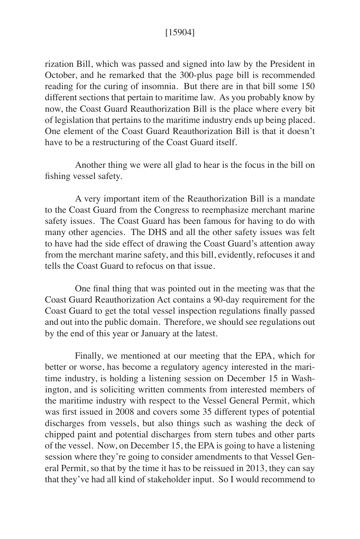### [15904]

rization Bill, which was passed and signed into law by the President in October, and he remarked that the 300-plus page bill is recommended reading for the curing of insomnia. But there are in that bill some 150 different sections that pertain to maritime law. As you probably know by now, the Coast Guard Reauthorization Bill is the place where every bit of legislation that pertains to the maritime industry ends up being placed. One element of the Coast Guard Reauthorization Bill is that it doesn't have to be a restructuring of the Coast Guard itself.

Another thing we were all glad to hear is the focus in the bill on fishing vessel safety.

A very important item of the Reauthorization Bill is a mandate to the Coast Guard from the Congress to reemphasize merchant marine safety issues. The Coast Guard has been famous for having to do with many other agencies. The DHS and all the other safety issues was felt to have had the side effect of drawing the Coast Guard's attention away from the merchant marine safety, and this bill, evidently, refocuses it and tells the Coast Guard to refocus on that issue.

One final thing that was pointed out in the meeting was that the Coast Guard Reauthorization Act contains a 90-day requirement for the Coast Guard to get the total vessel inspection regulations finally passed and out into the public domain. Therefore, we should see regulations out by the end of this year or January at the latest.

Finally, we mentioned at our meeting that the EPA, which for better or worse, has become a regulatory agency interested in the maritime industry, is holding a listening session on December 15 in Washington, and is soliciting written comments from interested members of the maritime industry with respect to the Vessel General Permit, which was first issued in 2008 and covers some 35 different types of potential discharges from vessels, but also things such as washing the deck of chipped paint and potential discharges from stern tubes and other parts of the vessel. Now, on December 15, the EPA is going to have a listening session where they're going to consider amendments to that Vessel General Permit, so that by the time it has to be reissued in 2013, they can say that they've had all kind of stakeholder input. So I would recommend to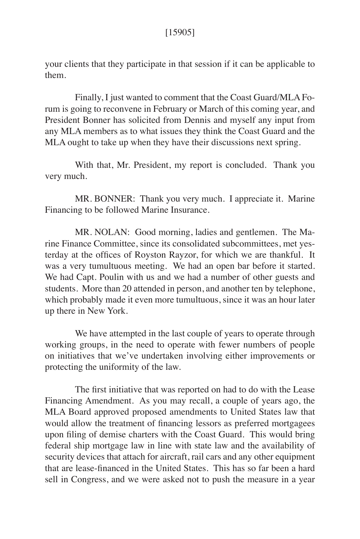your clients that they participate in that session if it can be applicable to them.

Finally, I just wanted to comment that the Coast Guard/MLA Forum is going to reconvene in February or March of this coming year, and President Bonner has solicited from Dennis and myself any input from any MLA members as to what issues they think the Coast Guard and the MLA ought to take up when they have their discussions next spring.

With that, Mr. President, my report is concluded. Thank you very much.

MR. BONNER: Thank you very much. I appreciate it. Marine Financing to be followed Marine Insurance.

MR. NOLAN: Good morning, ladies and gentlemen. The Marine Finance Committee, since its consolidated subcommittees, met yesterday at the offices of Royston Rayzor, for which we are thankful. It was a very tumultuous meeting. We had an open bar before it started. We had Capt. Poulin with us and we had a number of other guests and students. More than 20 attended in person, and another ten by telephone, which probably made it even more tumultuous, since it was an hour later up there in New York.

We have attempted in the last couple of years to operate through working groups, in the need to operate with fewer numbers of people on initiatives that we've undertaken involving either improvements or protecting the uniformity of the law.

The first initiative that was reported on had to do with the Lease Financing Amendment. As you may recall, a couple of years ago, the MLA Board approved proposed amendments to United States law that would allow the treatment of financing lessors as preferred mortgagees upon filing of demise charters with the Coast Guard. This would bring federal ship mortgage law in line with state law and the availability of security devices that attach for aircraft, rail cars and any other equipment that are lease-financed in the United States. This has so far been a hard sell in Congress, and we were asked not to push the measure in a year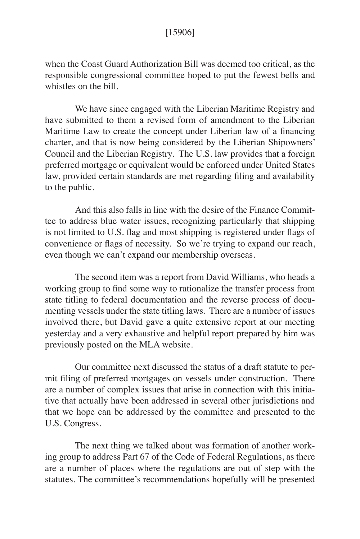### [15906]

when the Coast Guard Authorization Bill was deemed too critical, as the responsible congressional committee hoped to put the fewest bells and whistles on the bill.

We have since engaged with the Liberian Maritime Registry and have submitted to them a revised form of amendment to the Liberian Maritime Law to create the concept under Liberian law of a financing charter, and that is now being considered by the Liberian Shipowners' Council and the Liberian Registry. The U.S. law provides that a foreign preferred mortgage or equivalent would be enforced under United States law, provided certain standards are met regarding filing and availability to the public.

And this also falls in line with the desire of the Finance Committee to address blue water issues, recognizing particularly that shipping is not limited to U.S. flag and most shipping is registered under flags of convenience or flags of necessity. So we're trying to expand our reach, even though we can't expand our membership overseas.

The second item was a report from David Williams, who heads a working group to find some way to rationalize the transfer process from state titling to federal documentation and the reverse process of documenting vessels under the state titling laws. There are a number of issues involved there, but David gave a quite extensive report at our meeting yesterday and a very exhaustive and helpful report prepared by him was previously posted on the MLA website.

Our committee next discussed the status of a draft statute to permit filing of preferred mortgages on vessels under construction. There are a number of complex issues that arise in connection with this initiative that actually have been addressed in several other jurisdictions and that we hope can be addressed by the committee and presented to the U.S. Congress.

The next thing we talked about was formation of another working group to address Part 67 of the Code of Federal Regulations, as there are a number of places where the regulations are out of step with the statutes. The committee's recommendations hopefully will be presented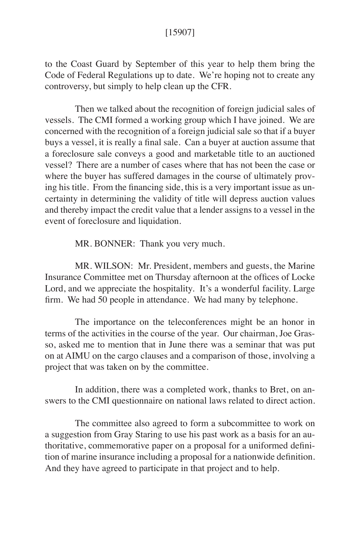### [15907]

to the Coast Guard by September of this year to help them bring the Code of Federal Regulations up to date. We're hoping not to create any controversy, but simply to help clean up the CFR.

Then we talked about the recognition of foreign judicial sales of vessels. The CMI formed a working group which I have joined. We are concerned with the recognition of a foreign judicial sale so that if a buyer buys a vessel, it is really a final sale. Can a buyer at auction assume that a foreclosure sale conveys a good and marketable title to an auctioned vessel? There are a number of cases where that has not been the case or where the buyer has suffered damages in the course of ultimately proving his title. From the financing side, this is a very important issue as uncertainty in determining the validity of title will depress auction values and thereby impact the credit value that a lender assigns to a vessel in the event of foreclosure and liquidation.

MR. BONNER: Thank you very much.

MR. WILSON: Mr. President, members and guests, the Marine Insurance Committee met on Thursday afternoon at the offices of Locke Lord, and we appreciate the hospitality. It's a wonderful facility. Large firm. We had 50 people in attendance. We had many by telephone.

The importance on the teleconferences might be an honor in terms of the activities in the course of the year. Our chairman, Joe Grasso, asked me to mention that in June there was a seminar that was put on at AIMU on the cargo clauses and a comparison of those, involving a project that was taken on by the committee.

In addition, there was a completed work, thanks to Bret, on answers to the CMI questionnaire on national laws related to direct action.

The committee also agreed to form a subcommittee to work on a suggestion from Gray Staring to use his past work as a basis for an authoritative, commemorative paper on a proposal for a uniformed definition of marine insurance including a proposal for a nationwide definition. And they have agreed to participate in that project and to help.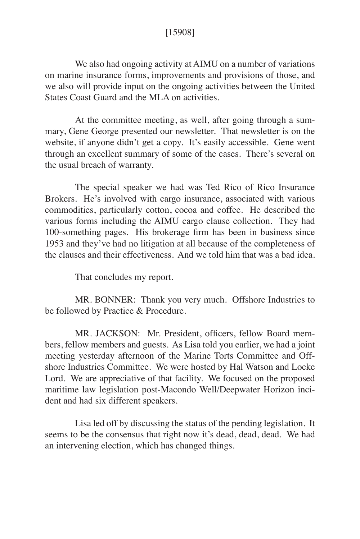## [15908]

We also had ongoing activity at AIMU on a number of variations on marine insurance forms, improvements and provisions of those, and we also will provide input on the ongoing activities between the United States Coast Guard and the MLA on activities.

At the committee meeting, as well, after going through a summary, Gene George presented our newsletter. That newsletter is on the website, if anyone didn't get a copy. It's easily accessible. Gene went through an excellent summary of some of the cases. There's several on the usual breach of warranty.

The special speaker we had was Ted Rico of Rico Insurance Brokers. He's involved with cargo insurance, associated with various commodities, particularly cotton, cocoa and coffee. He described the various forms including the AIMU cargo clause collection. They had 100-something pages. His brokerage firm has been in business since 1953 and they've had no litigation at all because of the completeness of the clauses and their effectiveness. And we told him that was a bad idea.

That concludes my report.

MR. BONNER: Thank you very much. Offshore Industries to be followed by Practice & Procedure.

MR. JACKSON: Mr. President, officers, fellow Board members, fellow members and guests. As Lisa told you earlier, we had a joint meeting yesterday afternoon of the Marine Torts Committee and Offshore Industries Committee. We were hosted by Hal Watson and Locke Lord. We are appreciative of that facility. We focused on the proposed maritime law legislation post-Macondo Well/Deepwater Horizon incident and had six different speakers.

Lisa led off by discussing the status of the pending legislation. It seems to be the consensus that right now it's dead, dead, dead. We had an intervening election, which has changed things.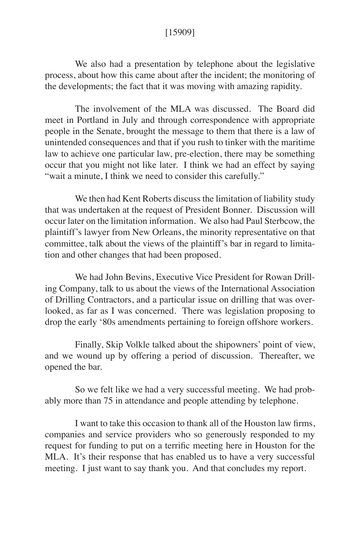### [15909]

We also had a presentation by telephone about the legislative process, about how this came about after the incident; the monitoring of the developments; the fact that it was moving with amazing rapidity.

The involvement of the MLA was discussed. The Board did meet in Portland in July and through correspondence with appropriate people in the Senate, brought the message to them that there is a law of unintended consequences and that if you rush to tinker with the maritime law to achieve one particular law, pre-election, there may be something occur that you might not like later. I think we had an effect by saying "wait a minute, I think we need to consider this carefully."

We then had Kent Roberts discuss the limitation of liability study that was undertaken at the request of President Bonner. Discussion will occur later on the limitation information. We also had Paul Sterbcow, the plaintiff's lawyer from New Orleans, the minority representative on that committee, talk about the views of the plaintiff's bar in regard to limitation and other changes that had been proposed.

We had John Bevins, Executive Vice President for Rowan Drilling Company, talk to us about the views of the International Association of Drilling Contractors, and a particular issue on drilling that was overlooked, as far as I was concerned. There was legislation proposing to drop the early '80s amendments pertaining to foreign offshore workers.

Finally, Skip Volkle talked about the shipowners' point of view, and we wound up by offering a period of discussion. Thereafter, we opened the bar.

So we felt like we had a very successful meeting. We had probably more than 75 in attendance and people attending by telephone.

I want to take this occasion to thank all of the Houston law firms, companies and service providers who so generously responded to my request for funding to put on a terrific meeting here in Houston for the MLA. It's their response that has enabled us to have a very successful meeting. I just want to say thank you. And that concludes my report.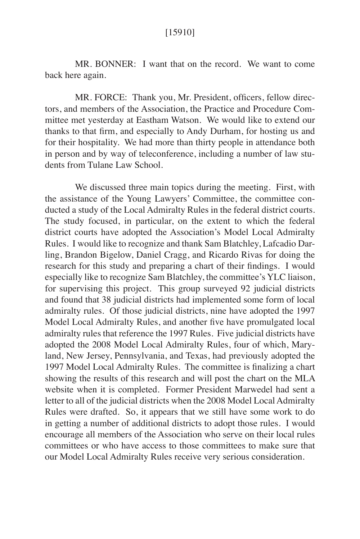### [15910]

MR. BONNER: I want that on the record. We want to come back here again.

MR. FORCE: Thank you, Mr. President, officers, fellow directors, and members of the Association, the Practice and Procedure Committee met yesterday at Eastham Watson. We would like to extend our thanks to that firm, and especially to Andy Durham, for hosting us and for their hospitality. We had more than thirty people in attendance both in person and by way of teleconference, including a number of law students from Tulane Law School.

We discussed three main topics during the meeting. First, with the assistance of the Young Lawyers' Committee, the committee conducted a study of the Local Admiralty Rules in the federal district courts. The study focused, in particular, on the extent to which the federal district courts have adopted the Association's Model Local Admiralty Rules. I would like to recognize and thank Sam Blatchley, Lafcadio Darling, Brandon Bigelow, Daniel Cragg, and Ricardo Rivas for doing the research for this study and preparing a chart of their findings. I would especially like to recognize Sam Blatchley, the committee's YLC liaison, for supervising this project. This group surveyed 92 judicial districts and found that 38 judicial districts had implemented some form of local admiralty rules. Of those judicial districts, nine have adopted the 1997 Model Local Admiralty Rules, and another five have promulgated local admiralty rules that reference the 1997 Rules. Five judicial districts have adopted the 2008 Model Local Admiralty Rules, four of which, Maryland, New Jersey, Pennsylvania, and Texas, had previously adopted the 1997 Model Local Admiralty Rules. The committee is finalizing a chart showing the results of this research and will post the chart on the MLA website when it is completed. Former President Marwedel had sent a letter to all of the judicial districts when the 2008 Model Local Admiralty Rules were drafted. So, it appears that we still have some work to do in getting a number of additional districts to adopt those rules. I would encourage all members of the Association who serve on their local rules committees or who have access to those committees to make sure that our Model Local Admiralty Rules receive very serious consideration.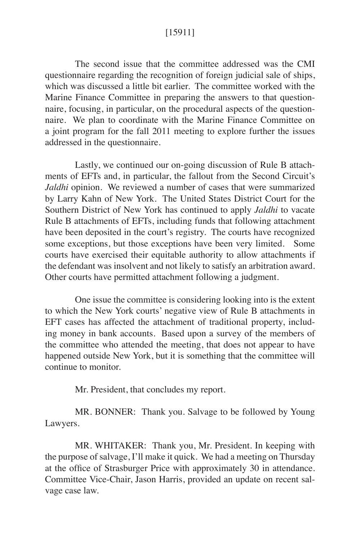### [15911]

The second issue that the committee addressed was the CMI questionnaire regarding the recognition of foreign judicial sale of ships, which was discussed a little bit earlier. The committee worked with the Marine Finance Committee in preparing the answers to that questionnaire, focusing, in particular, on the procedural aspects of the questionnaire. We plan to coordinate with the Marine Finance Committee on a joint program for the fall 2011 meeting to explore further the issues addressed in the questionnaire.

Lastly, we continued our on-going discussion of Rule B attachments of EFTs and, in particular, the fallout from the Second Circuit's *Jaldhi* opinion. We reviewed a number of cases that were summarized by Larry Kahn of New York. The United States District Court for the Southern District of New York has continued to apply *Jaldhi* to vacate Rule B attachments of EFTs, including funds that following attachment have been deposited in the court's registry. The courts have recognized some exceptions, but those exceptions have been very limited. Some courts have exercised their equitable authority to allow attachments if the defendant was insolvent and not likely to satisfy an arbitration award. Other courts have permitted attachment following a judgment.

One issue the committee is considering looking into is the extent to which the New York courts' negative view of Rule B attachments in EFT cases has affected the attachment of traditional property, including money in bank accounts. Based upon a survey of the members of the committee who attended the meeting, that does not appear to have happened outside New York, but it is something that the committee will continue to monitor.

Mr. President, that concludes my report.

MR. BONNER: Thank you. Salvage to be followed by Young Lawyers.

MR. WHITAKER: Thank you, Mr. President. In keeping with the purpose of salvage, I'll make it quick. We had a meeting on Thursday at the office of Strasburger Price with approximately 30 in attendance. Committee Vice-Chair, Jason Harris, provided an update on recent salvage case law.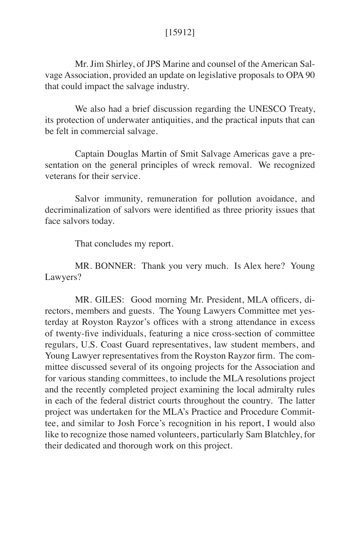Mr. Jim Shirley, of JPS Marine and counsel of the American Salvage Association, provided an update on legislative proposals to OPA 90 that could impact the salvage industry.

We also had a brief discussion regarding the UNESCO Treaty, its protection of underwater antiquities, and the practical inputs that can be felt in commercial salvage.

Captain Douglas Martin of Smit Salvage Americas gave a presentation on the general principles of wreck removal. We recognized veterans for their service.

Salvor immunity, remuneration for pollution avoidance, and decriminalization of salvors were identified as three priority issues that face salvors today.

That concludes my report.

MR. BONNER: Thank you very much. Is Alex here? Young Lawyers?

MR. GILES: Good morning Mr. President, MLA officers, directors, members and guests. The Young Lawyers Committee met yesterday at Royston Rayzor's offices with a strong attendance in excess of twenty-five individuals, featuring a nice cross-section of committee regulars, U.S. Coast Guard representatives, law student members, and Young Lawyer representatives from the Royston Rayzor firm. The committee discussed several of its ongoing projects for the Association and for various standing committees, to include the MLA resolutions project and the recently completed project examining the local admiralty rules in each of the federal district courts throughout the country. The latter project was undertaken for the MLA's Practice and Procedure Committee, and similar to Josh Force's recognition in his report, I would also like to recognize those named volunteers, particularly Sam Blatchley, for their dedicated and thorough work on this project.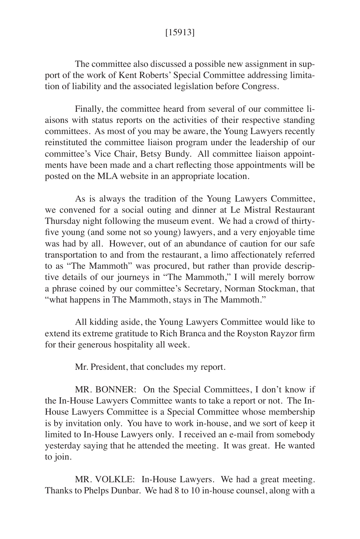## [15913]

The committee also discussed a possible new assignment in support of the work of Kent Roberts' Special Committee addressing limitation of liability and the associated legislation before Congress.

Finally, the committee heard from several of our committee liaisons with status reports on the activities of their respective standing committees. As most of you may be aware, the Young Lawyers recently reinstituted the committee liaison program under the leadership of our committee's Vice Chair, Betsy Bundy. All committee liaison appointments have been made and a chart reflecting those appointments will be posted on the MLA website in an appropriate location.

As is always the tradition of the Young Lawyers Committee, we convened for a social outing and dinner at Le Mistral Restaurant Thursday night following the museum event. We had a crowd of thirtyfive young (and some not so young) lawyers, and a very enjoyable time was had by all. However, out of an abundance of caution for our safe transportation to and from the restaurant, a limo affectionately referred to as "The Mammoth" was procured, but rather than provide descriptive details of our journeys in "The Mammoth," I will merely borrow a phrase coined by our committee's Secretary, Norman Stockman, that "what happens in The Mammoth, stays in The Mammoth."

All kidding aside, the Young Lawyers Committee would like to extend its extreme gratitude to Rich Branca and the Royston Rayzor firm for their generous hospitality all week.

Mr. President, that concludes my report.

MR. BONNER: On the Special Committees, I don't know if the In-House Lawyers Committee wants to take a report or not. The In-House Lawyers Committee is a Special Committee whose membership is by invitation only. You have to work in-house, and we sort of keep it limited to In-House Lawyers only. I received an e-mail from somebody yesterday saying that he attended the meeting. It was great. He wanted to join.

MR. VOLKLE: In-House Lawyers. We had a great meeting. Thanks to Phelps Dunbar. We had 8 to 10 in-house counsel, along with a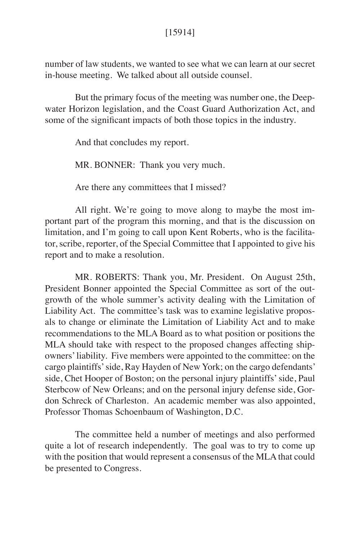### [15914]

number of law students, we wanted to see what we can learn at our secret in-house meeting. We talked about all outside counsel.

But the primary focus of the meeting was number one, the Deepwater Horizon legislation, and the Coast Guard Authorization Act, and some of the significant impacts of both those topics in the industry.

And that concludes my report.

MR. BONNER: Thank you very much.

Are there any committees that I missed?

All right. We're going to move along to maybe the most important part of the program this morning, and that is the discussion on limitation, and I'm going to call upon Kent Roberts, who is the facilitator, scribe, reporter, of the Special Committee that I appointed to give his report and to make a resolution.

MR. ROBERTS: Thank you, Mr. President. On August 25th, President Bonner appointed the Special Committee as sort of the outgrowth of the whole summer's activity dealing with the Limitation of Liability Act. The committee's task was to examine legislative proposals to change or eliminate the Limitation of Liability Act and to make recommendations to the MLA Board as to what position or positions the MLA should take with respect to the proposed changes affecting shipowners' liability. Five members were appointed to the committee: on the cargo plaintiffs' side, Ray Hayden of New York; on the cargo defendants' side, Chet Hooper of Boston; on the personal injury plaintiffs' side, Paul Sterbcow of New Orleans; and on the personal injury defense side, Gordon Schreck of Charleston. An academic member was also appointed, Professor Thomas Schoenbaum of Washington, D.C.

The committee held a number of meetings and also performed quite a lot of research independently. The goal was to try to come up with the position that would represent a consensus of the MLA that could be presented to Congress.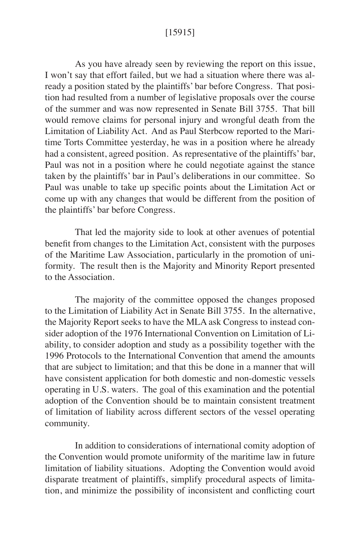### [15915]

As you have already seen by reviewing the report on this issue, I won't say that effort failed, but we had a situation where there was already a position stated by the plaintiffs' bar before Congress. That position had resulted from a number of legislative proposals over the course of the summer and was now represented in Senate Bill 3755. That bill would remove claims for personal injury and wrongful death from the Limitation of Liability Act. And as Paul Sterbcow reported to the Maritime Torts Committee yesterday, he was in a position where he already had a consistent, agreed position. As representative of the plaintiffs' bar, Paul was not in a position where he could negotiate against the stance taken by the plaintiffs' bar in Paul's deliberations in our committee. So Paul was unable to take up specific points about the Limitation Act or come up with any changes that would be different from the position of the plaintiffs' bar before Congress.

That led the majority side to look at other avenues of potential benefit from changes to the Limitation Act, consistent with the purposes of the Maritime Law Association, particularly in the promotion of uniformity. The result then is the Majority and Minority Report presented to the Association.

The majority of the committee opposed the changes proposed to the Limitation of Liability Act in Senate Bill 3755. In the alternative, the Majority Report seeks to have the MLA ask Congress to instead consider adoption of the 1976 International Convention on Limitation of Liability, to consider adoption and study as a possibility together with the 1996 Protocols to the International Convention that amend the amounts that are subject to limitation; and that this be done in a manner that will have consistent application for both domestic and non-domestic vessels operating in U.S. waters. The goal of this examination and the potential adoption of the Convention should be to maintain consistent treatment of limitation of liability across different sectors of the vessel operating community.

In addition to considerations of international comity adoption of the Convention would promote uniformity of the maritime law in future limitation of liability situations. Adopting the Convention would avoid disparate treatment of plaintiffs, simplify procedural aspects of limitation, and minimize the possibility of inconsistent and conflicting court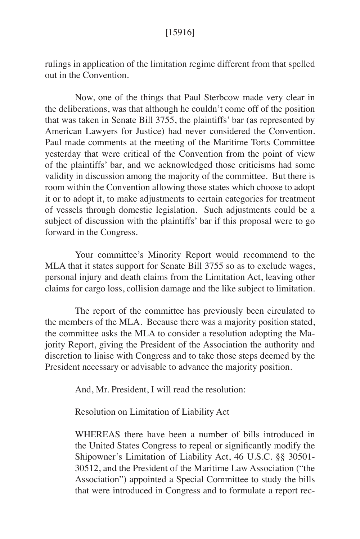rulings in application of the limitation regime different from that spelled out in the Convention.

Now, one of the things that Paul Sterbcow made very clear in the deliberations, was that although he couldn't come off of the position that was taken in Senate Bill 3755, the plaintiffs' bar (as represented by American Lawyers for Justice) had never considered the Convention. Paul made comments at the meeting of the Maritime Torts Committee yesterday that were critical of the Convention from the point of view of the plaintiffs' bar, and we acknowledged those criticisms had some validity in discussion among the majority of the committee. But there is room within the Convention allowing those states which choose to adopt it or to adopt it, to make adjustments to certain categories for treatment of vessels through domestic legislation. Such adjustments could be a subject of discussion with the plaintiffs' bar if this proposal were to go forward in the Congress.

Your committee's Minority Report would recommend to the MLA that it states support for Senate Bill 3755 so as to exclude wages, personal injury and death claims from the Limitation Act, leaving other claims for cargo loss, collision damage and the like subject to limitation.

The report of the committee has previously been circulated to the members of the MLA. Because there was a majority position stated, the committee asks the MLA to consider a resolution adopting the Majority Report, giving the President of the Association the authority and discretion to liaise with Congress and to take those steps deemed by the President necessary or advisable to advance the majority position.

And, Mr. President, I will read the resolution:

Resolution on Limitation of Liability Act

WHEREAS there have been a number of bills introduced in the United States Congress to repeal or significantly modify the Shipowner's Limitation of Liability Act, 46 U.S.C. §§ 30501- 30512, and the President of the Maritime Law Association ("the Association") appointed a Special Committee to study the bills that were introduced in Congress and to formulate a report rec-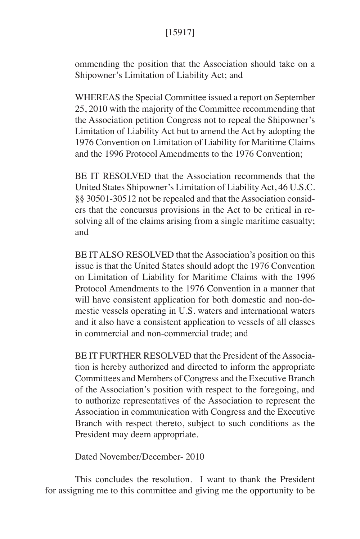# [15917]

ommending the position that the Association should take on a Shipowner's Limitation of Liability Act; and

WHEREAS the Special Committee issued a report on September 25, 2010 with the majority of the Committee recommending that the Association petition Congress not to repeal the Shipowner's Limitation of Liability Act but to amend the Act by adopting the 1976 Convention on Limitation of Liability for Maritime Claims and the 1996 Protocol Amendments to the 1976 Convention;

BE IT RESOLVED that the Association recommends that the United States Shipowner's Limitation of Liability Act, 46 U.S.C. §§ 30501-30512 not be repealed and that the Association considers that the concursus provisions in the Act to be critical in resolving all of the claims arising from a single maritime casualty; and

BE IT ALSO RESOLVED that the Association's position on this issue is that the United States should adopt the 1976 Convention on Limitation of Liability for Maritime Claims with the 1996 Protocol Amendments to the 1976 Convention in a manner that will have consistent application for both domestic and non-domestic vessels operating in U.S. waters and international waters and it also have a consistent application to vessels of all classes in commercial and non-commercial trade; and

BE IT FURTHER RESOLVED that the President of the Association is hereby authorized and directed to inform the appropriate Committees and Members of Congress and the Executive Branch of the Association's position with respect to the foregoing, and to authorize representatives of the Association to represent the Association in communication with Congress and the Executive Branch with respect thereto, subject to such conditions as the President may deem appropriate.

Dated November/December- 2010

This concludes the resolution. I want to thank the President for assigning me to this committee and giving me the opportunity to be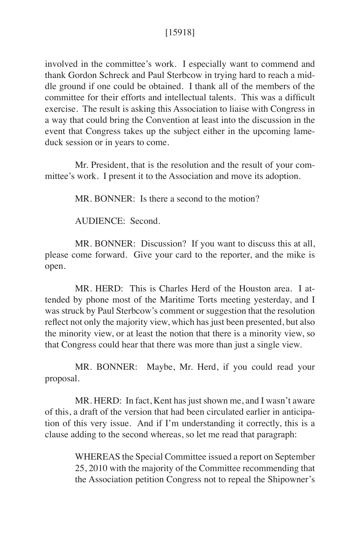## [15918]

involved in the committee's work. I especially want to commend and thank Gordon Schreck and Paul Sterbcow in trying hard to reach a middle ground if one could be obtained. I thank all of the members of the committee for their efforts and intellectual talents. This was a difficult exercise. The result is asking this Association to liaise with Congress in a way that could bring the Convention at least into the discussion in the event that Congress takes up the subject either in the upcoming lameduck session or in years to come.

Mr. President, that is the resolution and the result of your committee's work. I present it to the Association and move its adoption.

MR. BONNER: Is there a second to the motion?

AUDIENCE: Second.

MR. BONNER: Discussion? If you want to discuss this at all, please come forward. Give your card to the reporter, and the mike is open.

MR. HERD: This is Charles Herd of the Houston area. I attended by phone most of the Maritime Torts meeting yesterday, and I was struck by Paul Sterbcow's comment or suggestion that the resolution reflect not only the majority view, which has just been presented, but also the minority view, or at least the notion that there is a minority view, so that Congress could hear that there was more than just a single view.

MR. BONNER: Maybe, Mr. Herd, if you could read your proposal.

MR. HERD: In fact, Kent has just shown me, and I wasn't aware of this, a draft of the version that had been circulated earlier in anticipation of this very issue. And if I'm understanding it correctly, this is a clause adding to the second whereas, so let me read that paragraph:

> WHEREAS the Special Committee issued a report on September 25, 2010 with the majority of the Committee recommending that the Association petition Congress not to repeal the Shipowner's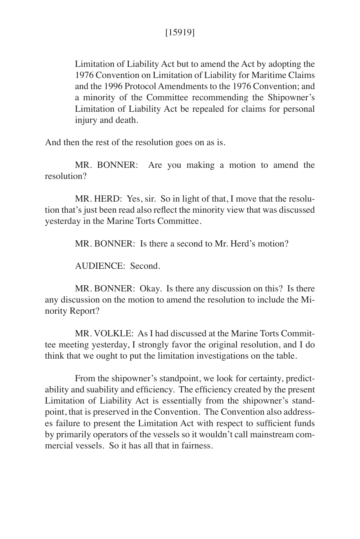Limitation of Liability Act but to amend the Act by adopting the 1976 Convention on Limitation of Liability for Maritime Claims and the 1996 Protocol Amendments to the 1976 Convention; and a minority of the Committee recommending the Shipowner's Limitation of Liability Act be repealed for claims for personal injury and death.

And then the rest of the resolution goes on as is.

MR. BONNER: Are you making a motion to amend the resolution?

MR. HERD: Yes, sir. So in light of that, I move that the resolution that's just been read also reflect the minority view that was discussed yesterday in the Marine Torts Committee.

MR. BONNER: Is there a second to Mr. Herd's motion?

AUDIENCE: Second.

MR. BONNER: Okay. Is there any discussion on this? Is there any discussion on the motion to amend the resolution to include the Minority Report?

MR. VOLKLE: As I had discussed at the Marine Torts Committee meeting yesterday, I strongly favor the original resolution, and I do think that we ought to put the limitation investigations on the table.

From the shipowner's standpoint, we look for certainty, predictability and suability and efficiency. The efficiency created by the present Limitation of Liability Act is essentially from the shipowner's standpoint, that is preserved in the Convention. The Convention also addresses failure to present the Limitation Act with respect to sufficient funds by primarily operators of the vessels so it wouldn't call mainstream commercial vessels. So it has all that in fairness.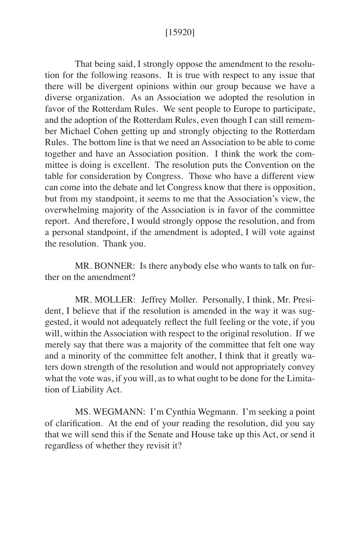### [15920]

That being said, I strongly oppose the amendment to the resolution for the following reasons. It is true with respect to any issue that there will be divergent opinions within our group because we have a diverse organization. As an Association we adopted the resolution in favor of the Rotterdam Rules. We sent people to Europe to participate, and the adoption of the Rotterdam Rules, even though I can still remember Michael Cohen getting up and strongly objecting to the Rotterdam Rules. The bottom line is that we need an Association to be able to come together and have an Association position. I think the work the committee is doing is excellent. The resolution puts the Convention on the table for consideration by Congress. Those who have a different view can come into the debate and let Congress know that there is opposition, but from my standpoint, it seems to me that the Association's view, the overwhelming majority of the Association is in favor of the committee report. And therefore, I would strongly oppose the resolution, and from a personal standpoint, if the amendment is adopted, I will vote against the resolution. Thank you.

MR. BONNER: Is there anybody else who wants to talk on further on the amendment?

MR. MOLLER: Jeffrey Moller. Personally, I think, Mr. President, I believe that if the resolution is amended in the way it was suggested, it would not adequately reflect the full feeling or the vote, if you will, within the Association with respect to the original resolution. If we merely say that there was a majority of the committee that felt one way and a minority of the committee felt another, I think that it greatly waters down strength of the resolution and would not appropriately convey what the vote was, if you will, as to what ought to be done for the Limitation of Liability Act.

MS. WEGMANN: I'm Cynthia Wegmann. I'm seeking a point of clarification. At the end of your reading the resolution, did you say that we will send this if the Senate and House take up this Act, or send it regardless of whether they revisit it?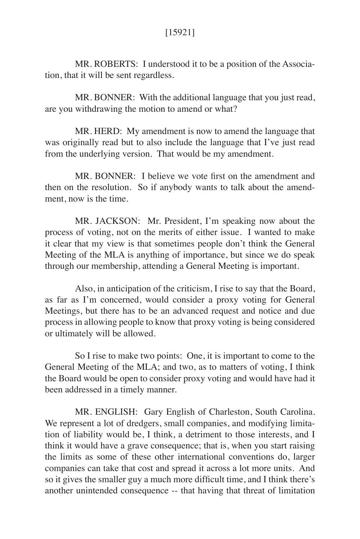MR. ROBERTS: I understood it to be a position of the Association, that it will be sent regardless.

MR. BONNER: With the additional language that you just read, are you withdrawing the motion to amend or what?

MR. HERD: My amendment is now to amend the language that was originally read but to also include the language that I've just read from the underlying version. That would be my amendment.

MR. BONNER: I believe we vote first on the amendment and then on the resolution. So if anybody wants to talk about the amendment, now is the time.

MR. JACKSON: Mr. President, I'm speaking now about the process of voting, not on the merits of either issue. I wanted to make it clear that my view is that sometimes people don't think the General Meeting of the MLA is anything of importance, but since we do speak through our membership, attending a General Meeting is important.

Also, in anticipation of the criticism, I rise to say that the Board, as far as I'm concerned, would consider a proxy voting for General Meetings, but there has to be an advanced request and notice and due process in allowing people to know that proxy voting is being considered or ultimately will be allowed.

So I rise to make two points: One, it is important to come to the General Meeting of the MLA; and two, as to matters of voting, I think the Board would be open to consider proxy voting and would have had it been addressed in a timely manner.

MR. ENGLISH: Gary English of Charleston, South Carolina. We represent a lot of dredgers, small companies, and modifying limitation of liability would be, I think, a detriment to those interests, and I think it would have a grave consequence; that is, when you start raising the limits as some of these other international conventions do, larger companies can take that cost and spread it across a lot more units. And so it gives the smaller guy a much more difficult time, and I think there's another unintended consequence -- that having that threat of limitation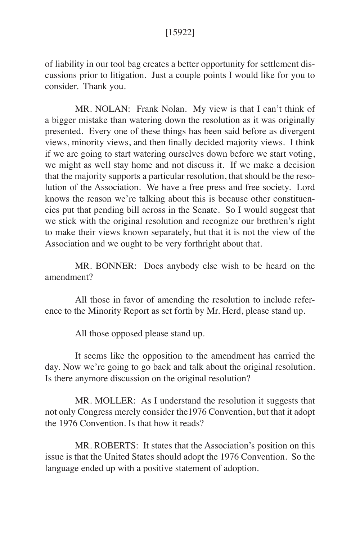of liability in our tool bag creates a better opportunity for settlement discussions prior to litigation. Just a couple points I would like for you to consider. Thank you.

MR. NOLAN: Frank Nolan. My view is that I can't think of a bigger mistake than watering down the resolution as it was originally presented. Every one of these things has been said before as divergent views, minority views, and then finally decided majority views. I think if we are going to start watering ourselves down before we start voting, we might as well stay home and not discuss it. If we make a decision that the majority supports a particular resolution, that should be the resolution of the Association. We have a free press and free society. Lord knows the reason we're talking about this is because other constituencies put that pending bill across in the Senate. So I would suggest that we stick with the original resolution and recognize our brethren's right to make their views known separately, but that it is not the view of the Association and we ought to be very forthright about that.

MR. BONNER: Does anybody else wish to be heard on the amendment?

All those in favor of amending the resolution to include reference to the Minority Report as set forth by Mr. Herd, please stand up.

All those opposed please stand up.

It seems like the opposition to the amendment has carried the day. Now we're going to go back and talk about the original resolution. Is there anymore discussion on the original resolution?

MR. MOLLER: As I understand the resolution it suggests that not only Congress merely consider the1976 Convention, but that it adopt the 1976 Convention. Is that how it reads?

MR. ROBERTS: It states that the Association's position on this issue is that the United States should adopt the 1976 Convention. So the language ended up with a positive statement of adoption.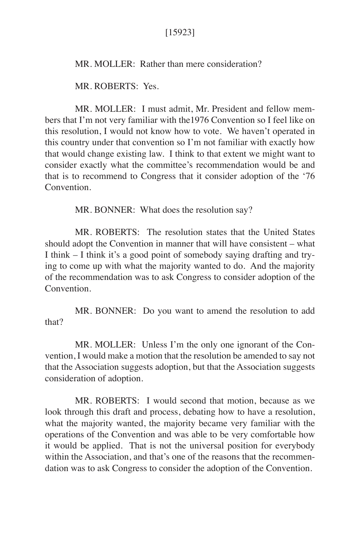## [15923]

MR. MOLLER: Rather than mere consideration?

MR. ROBERTS: Yes.

MR. MOLLER: I must admit, Mr. President and fellow members that I'm not very familiar with the1976 Convention so I feel like on this resolution, I would not know how to vote. We haven't operated in this country under that convention so I'm not familiar with exactly how that would change existing law. I think to that extent we might want to consider exactly what the committee's recommendation would be and that is to recommend to Congress that it consider adoption of the '76 **Convention** 

MR. BONNER: What does the resolution say?

MR. ROBERTS: The resolution states that the United States should adopt the Convention in manner that will have consistent – what I think – I think it's a good point of somebody saying drafting and trying to come up with what the majority wanted to do. And the majority of the recommendation was to ask Congress to consider adoption of the Convention.

MR. BONNER: Do you want to amend the resolution to add that?

MR. MOLLER: Unless I'm the only one ignorant of the Convention, I would make a motion that the resolution be amended to say not that the Association suggests adoption, but that the Association suggests consideration of adoption.

MR. ROBERTS: I would second that motion, because as we look through this draft and process, debating how to have a resolution, what the majority wanted, the majority became very familiar with the operations of the Convention and was able to be very comfortable how it would be applied. That is not the universal position for everybody within the Association, and that's one of the reasons that the recommendation was to ask Congress to consider the adoption of the Convention.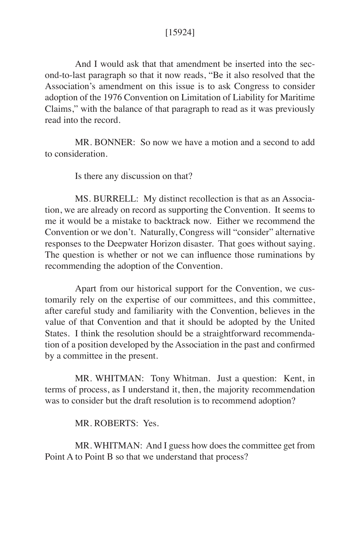## [15924]

And I would ask that that amendment be inserted into the second-to-last paragraph so that it now reads, "Be it also resolved that the Association's amendment on this issue is to ask Congress to consider adoption of the 1976 Convention on Limitation of Liability for Maritime Claims," with the balance of that paragraph to read as it was previously read into the record.

MR. BONNER: So now we have a motion and a second to add to consideration.

Is there any discussion on that?

MS. BURRELL: My distinct recollection is that as an Association, we are already on record as supporting the Convention. It seems to me it would be a mistake to backtrack now. Either we recommend the Convention or we don't. Naturally, Congress will "consider" alternative responses to the Deepwater Horizon disaster. That goes without saying. The question is whether or not we can influence those ruminations by recommending the adoption of the Convention.

Apart from our historical support for the Convention, we customarily rely on the expertise of our committees, and this committee, after careful study and familiarity with the Convention, believes in the value of that Convention and that it should be adopted by the United States. I think the resolution should be a straightforward recommendation of a position developed by the Association in the past and confirmed by a committee in the present.

MR. WHITMAN: Tony Whitman. Just a question: Kent, in terms of process, as I understand it, then, the majority recommendation was to consider but the draft resolution is to recommend adoption?

MR. ROBERTS: Yes.

MR. WHITMAN: And I guess how does the committee get from Point A to Point B so that we understand that process?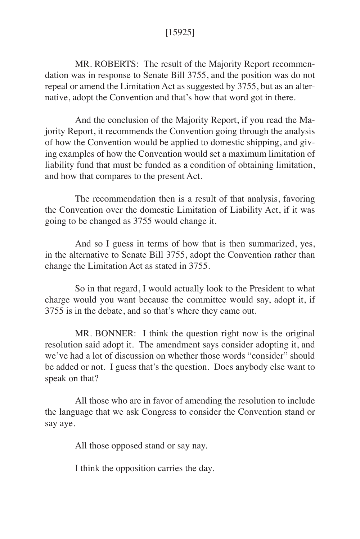# [15925]

MR. ROBERTS: The result of the Majority Report recommendation was in response to Senate Bill 3755, and the position was do not repeal or amend the Limitation Act as suggested by 3755, but as an alternative, adopt the Convention and that's how that word got in there.

And the conclusion of the Majority Report, if you read the Majority Report, it recommends the Convention going through the analysis of how the Convention would be applied to domestic shipping, and giving examples of how the Convention would set a maximum limitation of liability fund that must be funded as a condition of obtaining limitation, and how that compares to the present Act.

The recommendation then is a result of that analysis, favoring the Convention over the domestic Limitation of Liability Act, if it was going to be changed as 3755 would change it.

And so I guess in terms of how that is then summarized, yes, in the alternative to Senate Bill 3755, adopt the Convention rather than change the Limitation Act as stated in 3755.

So in that regard, I would actually look to the President to what charge would you want because the committee would say, adopt it, if 3755 is in the debate, and so that's where they came out.

MR. BONNER: I think the question right now is the original resolution said adopt it. The amendment says consider adopting it, and we've had a lot of discussion on whether those words "consider" should be added or not. I guess that's the question. Does anybody else want to speak on that?

All those who are in favor of amending the resolution to include the language that we ask Congress to consider the Convention stand or say aye.

All those opposed stand or say nay.

I think the opposition carries the day.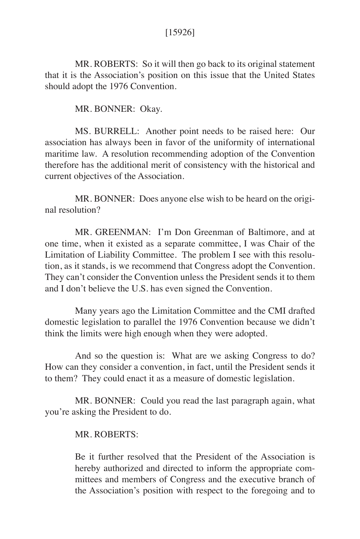## [15926]

MR. ROBERTS: So it will then go back to its original statement that it is the Association's position on this issue that the United States should adopt the 1976 Convention.

MR. BONNER: Okay.

MS. BURRELL: Another point needs to be raised here: Our association has always been in favor of the uniformity of international maritime law. A resolution recommending adoption of the Convention therefore has the additional merit of consistency with the historical and current objectives of the Association.

MR. BONNER: Does anyone else wish to be heard on the original resolution?

MR. GREENMAN: I'm Don Greenman of Baltimore, and at one time, when it existed as a separate committee, I was Chair of the Limitation of Liability Committee. The problem I see with this resolution, as it stands, is we recommend that Congress adopt the Convention. They can't consider the Convention unless the President sends it to them and I don't believe the U.S. has even signed the Convention.

Many years ago the Limitation Committee and the CMI drafted domestic legislation to parallel the 1976 Convention because we didn't think the limits were high enough when they were adopted.

And so the question is: What are we asking Congress to do? How can they consider a convention, in fact, until the President sends it to them? They could enact it as a measure of domestic legislation.

MR. BONNER: Could you read the last paragraph again, what you're asking the President to do.

### MR. ROBERTS:

Be it further resolved that the President of the Association is hereby authorized and directed to inform the appropriate committees and members of Congress and the executive branch of the Association's position with respect to the foregoing and to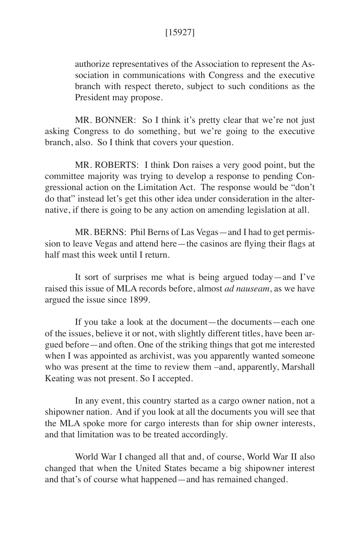# [15927]

authorize representatives of the Association to represent the Association in communications with Congress and the executive branch with respect thereto, subject to such conditions as the President may propose.

MR. BONNER: So I think it's pretty clear that we're not just asking Congress to do something, but we're going to the executive branch, also. So I think that covers your question.

MR. ROBERTS: I think Don raises a very good point, but the committee majority was trying to develop a response to pending Congressional action on the Limitation Act. The response would be "don't do that" instead let's get this other idea under consideration in the alternative, if there is going to be any action on amending legislation at all.

MR. BERNS: Phil Berns of Las Vegas—and I had to get permission to leave Vegas and attend here—the casinos are flying their flags at half mast this week until I return.

It sort of surprises me what is being argued today—and I've raised this issue of MLA records before, almost *ad nauseam*, as we have argued the issue since 1899.

If you take a look at the document—the documents—each one of the issues, believe it or not, with slightly different titles, have been argued before—and often. One of the striking things that got me interested when I was appointed as archivist, was you apparently wanted someone who was present at the time to review them –and, apparently, Marshall Keating was not present. So I accepted.

In any event, this country started as a cargo owner nation, not a shipowner nation. And if you look at all the documents you will see that the MLA spoke more for cargo interests than for ship owner interests, and that limitation was to be treated accordingly.

World War I changed all that and, of course, World War II also changed that when the United States became a big shipowner interest and that's of course what happened—and has remained changed.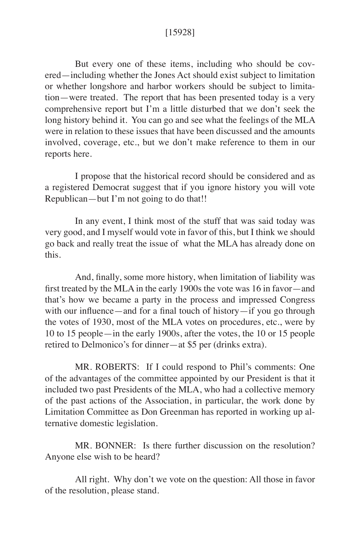### [15928]

But every one of these items, including who should be covered—including whether the Jones Act should exist subject to limitation or whether longshore and harbor workers should be subject to limitation—were treated. The report that has been presented today is a very comprehensive report but I'm a little disturbed that we don't seek the long history behind it. You can go and see what the feelings of the MLA were in relation to these issues that have been discussed and the amounts involved, coverage, etc., but we don't make reference to them in our reports here.

I propose that the historical record should be considered and as a registered Democrat suggest that if you ignore history you will vote Republican—but I'm not going to do that!!

In any event, I think most of the stuff that was said today was very good, and I myself would vote in favor of this, but I think we should go back and really treat the issue of what the MLA has already done on this.

And, finally, some more history, when limitation of liability was first treated by the MLA in the early 1900s the vote was 16 in favor—and that's how we became a party in the process and impressed Congress with our influence—and for a final touch of history—if you go through the votes of 1930, most of the MLA votes on procedures, etc., were by 10 to 15 people—in the early 1900s, after the votes, the 10 or 15 people retired to Delmonico's for dinner—at \$5 per (drinks extra).

MR. ROBERTS: If I could respond to Phil's comments: One of the advantages of the committee appointed by our President is that it included two past Presidents of the MLA, who had a collective memory of the past actions of the Association, in particular, the work done by Limitation Committee as Don Greenman has reported in working up alternative domestic legislation.

MR. BONNER: Is there further discussion on the resolution? Anyone else wish to be heard?

All right. Why don't we vote on the question: All those in favor of the resolution, please stand.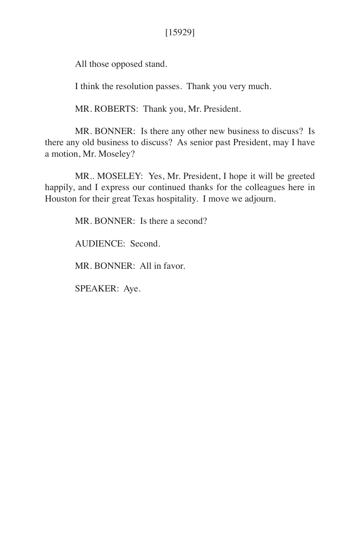# [15929]

All those opposed stand.

I think the resolution passes. Thank you very much.

MR. ROBERTS: Thank you, Mr. President.

MR. BONNER: Is there any other new business to discuss? Is there any old business to discuss? As senior past President, may I have a motion, Mr. Moseley?

MR.. MOSELEY: Yes, Mr. President, I hope it will be greeted happily, and I express our continued thanks for the colleagues here in Houston for their great Texas hospitality. I move we adjourn.

MR. BONNER: Is there a second?

AUDIENCE: Second.

MR. BONNER: All in favor.

SPEAKER: Aye.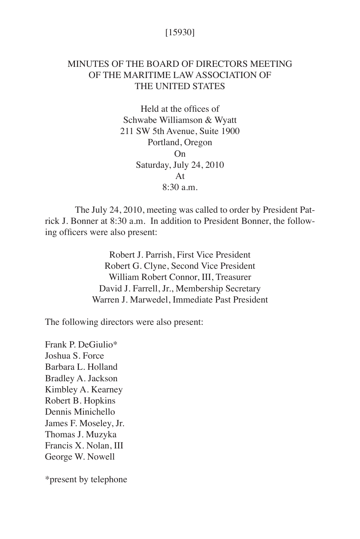## [15930]

# MINUTES OF THE BOARD OF DIRECTORS MEETING OF THE MARITIME LAW ASSOCIATION OF THE UNITED STATES

Held at the offices of Schwabe Williamson & Wyatt 211 SW 5th Avenue, Suite 1900 Portland, Oregon On Saturday, July 24, 2010 At  $8.30$  a.m.

The July 24, 2010, meeting was called to order by President Patrick J. Bonner at 8:30 a.m. In addition to President Bonner, the following officers were also present:

> Robert J. Parrish, First Vice President Robert G. Clyne, Second Vice President William Robert Connor, III, Treasurer David J. Farrell, Jr., Membership Secretary Warren J. Marwedel, Immediate Past President

The following directors were also present:

Frank P. DeGiulio\* Joshua S. Force Barbara L. Holland Bradley A. Jackson Kimbley A. Kearney Robert B. Hopkins Dennis Minichello James F. Moseley, Jr. Thomas J. Muzyka Francis X. Nolan, III George W. Nowell

\*present by telephone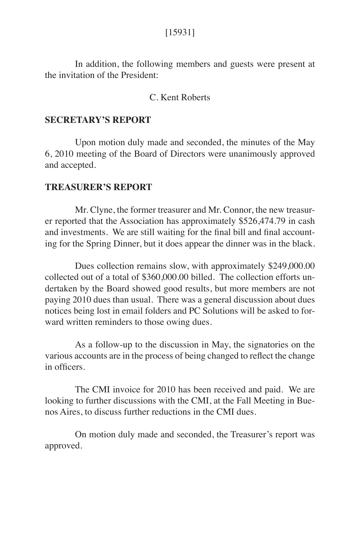### [15931]

In addition, the following members and guests were present at the invitation of the President:

### C. Kent Roberts

#### **SECRETARY'S REPORT**

Upon motion duly made and seconded, the minutes of the May 6, 2010 meeting of the Board of Directors were unanimously approved and accepted.

#### **TREASURER'S REPORT**

Mr. Clyne, the former treasurer and Mr. Connor, the new treasurer reported that the Association has approximately \$526,474.79 in cash and investments. We are still waiting for the final bill and final accounting for the Spring Dinner, but it does appear the dinner was in the black.

Dues collection remains slow, with approximately \$249,000.00 collected out of a total of \$360,000.00 billed. The collection efforts undertaken by the Board showed good results, but more members are not paying 2010 dues than usual. There was a general discussion about dues notices being lost in email folders and PC Solutions will be asked to forward written reminders to those owing dues.

As a follow-up to the discussion in May, the signatories on the various accounts are in the process of being changed to reflect the change in officers.

The CMI invoice for 2010 has been received and paid. We are looking to further discussions with the CMI, at the Fall Meeting in Buenos Aires, to discuss further reductions in the CMI dues.

On motion duly made and seconded, the Treasurer's report was approved.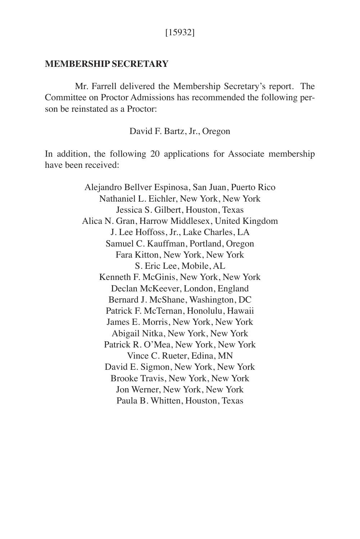### **MEMBERSHIP SECRETARY**

Mr. Farrell delivered the Membership Secretary's report. The Committee on Proctor Admissions has recommended the following person be reinstated as a Proctor:

David F. Bartz, Jr., Oregon

In addition, the following 20 applications for Associate membership have been received:

> Alejandro Bellver Espinosa, San Juan, Puerto Rico Nathaniel L. Eichler, New York, New York Jessica S. Gilbert, Houston, Texas Alica N. Gran, Harrow Middlesex, United Kingdom J. Lee Hoffoss, Jr., Lake Charles, LA Samuel C. Kauffman, Portland, Oregon Fara Kitton, New York, New York S. Eric Lee, Mobile, AL Kenneth F. McGinis, New York, New York Declan McKeever, London, England Bernard J. McShane, Washington, DC Patrick F. McTernan, Honolulu, Hawaii James E. Morris, New York, New York Abigail Nitka, New York, New York Patrick R. O'Mea, New York, New York Vince C. Rueter, Edina, MN David E. Sigmon, New York, New York Brooke Travis, New York, New York Jon Werner, New York, New York Paula B. Whitten, Houston, Texas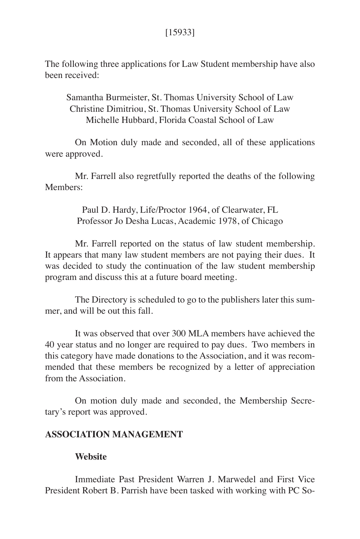# [15933]

The following three applications for Law Student membership have also been received:

Samantha Burmeister, St. Thomas University School of Law Christine Dimitriou, St. Thomas University School of Law Michelle Hubbard, Florida Coastal School of Law

On Motion duly made and seconded, all of these applications were approved.

Mr. Farrell also regretfully reported the deaths of the following Members<sup>.</sup>

> Paul D. Hardy, Life/Proctor 1964, of Clearwater, FL Professor Jo Desha Lucas, Academic 1978, of Chicago

Mr. Farrell reported on the status of law student membership. It appears that many law student members are not paying their dues. It was decided to study the continuation of the law student membership program and discuss this at a future board meeting.

The Directory is scheduled to go to the publishers later this summer, and will be out this fall.

It was observed that over 300 MLA members have achieved the 40 year status and no longer are required to pay dues. Two members in this category have made donations to the Association, and it was recommended that these members be recognized by a letter of appreciation from the Association.

On motion duly made and seconded, the Membership Secretary's report was approved.

### **ASSOCIATION MANAGEMENT**

### **Website**

Immediate Past President Warren J. Marwedel and First Vice President Robert B. Parrish have been tasked with working with PC So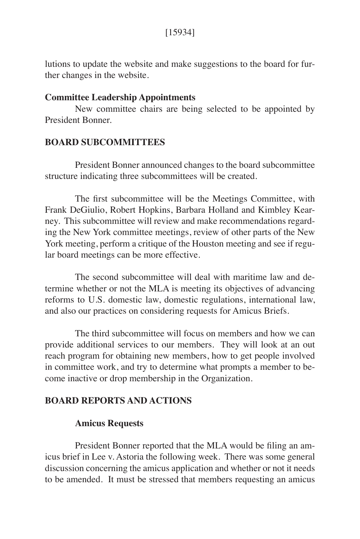lutions to update the website and make suggestions to the board for further changes in the website.

### **Committee Leadership Appointments**

New committee chairs are being selected to be appointed by President Bonner.

### **BOARD SUBCOMMITTEES**

President Bonner announced changes to the board subcommittee structure indicating three subcommittees will be created.

The first subcommittee will be the Meetings Committee, with Frank DeGiulio, Robert Hopkins, Barbara Holland and Kimbley Kearney. This subcommittee will review and make recommendations regarding the New York committee meetings, review of other parts of the New York meeting, perform a critique of the Houston meeting and see if regular board meetings can be more effective.

The second subcommittee will deal with maritime law and determine whether or not the MLA is meeting its objectives of advancing reforms to U.S. domestic law, domestic regulations, international law, and also our practices on considering requests for Amicus Briefs.

The third subcommittee will focus on members and how we can provide additional services to our members. They will look at an out reach program for obtaining new members, how to get people involved in committee work, and try to determine what prompts a member to become inactive or drop membership in the Organization.

### **BOARD REPORTS AND ACTIONS**

### **Amicus Requests**

President Bonner reported that the MLA would be filing an amicus brief in Lee v. Astoria the following week. There was some general discussion concerning the amicus application and whether or not it needs to be amended. It must be stressed that members requesting an amicus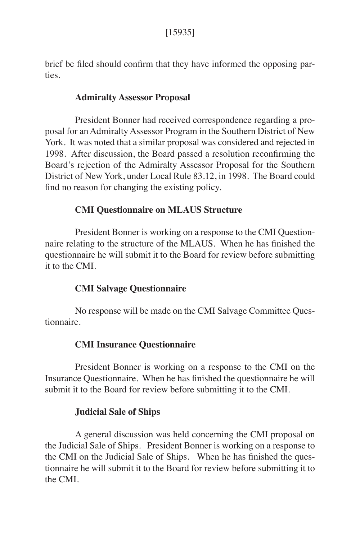brief be filed should confirm that they have informed the opposing parties.

## **Admiralty Assessor Proposal**

President Bonner had received correspondence regarding a proposal for an Admiralty Assessor Program in the Southern District of New York. It was noted that a similar proposal was considered and rejected in 1998. After discussion, the Board passed a resolution reconfirming the Board's rejection of the Admiralty Assessor Proposal for the Southern District of New York, under Local Rule 83.12, in 1998. The Board could find no reason for changing the existing policy.

## **CMI Questionnaire on MLAUS Structure**

President Bonner is working on a response to the CMI Questionnaire relating to the structure of the MLAUS. When he has finished the questionnaire he will submit it to the Board for review before submitting it to the CMI.

### **CMI Salvage Questionnaire**

No response will be made on the CMI Salvage Committee Questionnaire.

### **CMI Insurance Questionnaire**

President Bonner is working on a response to the CMI on the Insurance Questionnaire. When he has finished the questionnaire he will submit it to the Board for review before submitting it to the CMI.

### **Judicial Sale of Ships**

A general discussion was held concerning the CMI proposal on the Judicial Sale of Ships. President Bonner is working on a response to the CMI on the Judicial Sale of Ships. When he has finished the questionnaire he will submit it to the Board for review before submitting it to the CMI.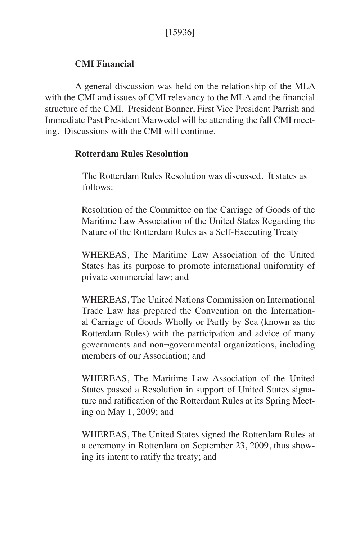# **CMI Financial**

A general discussion was held on the relationship of the MLA with the CMI and issues of CMI relevancy to the MLA and the financial structure of the CMI. President Bonner, First Vice President Parrish and Immediate Past President Marwedel will be attending the fall CMI meeting. Discussions with the CMI will continue.

### **Rotterdam Rules Resolution**

The Rotterdam Rules Resolution was discussed. It states as follows:

Resolution of the Committee on the Carriage of Goods of the Maritime Law Association of the United States Regarding the Nature of the Rotterdam Rules as a Self-Executing Treaty

WHEREAS, The Maritime Law Association of the United States has its purpose to promote international uniformity of private commercial law; and

WHEREAS, The United Nations Commission on International Trade Law has prepared the Convention on the International Carriage of Goods Wholly or Partly by Sea (known as the Rotterdam Rules) with the participation and advice of many governments and non¬governmental organizations, including members of our Association; and

WHEREAS, The Maritime Law Association of the United States passed a Resolution in support of United States signature and ratification of the Rotterdam Rules at its Spring Meeting on May 1, 2009; and

WHEREAS, The United States signed the Rotterdam Rules at a ceremony in Rotterdam on September 23, 2009, thus showing its intent to ratify the treaty; and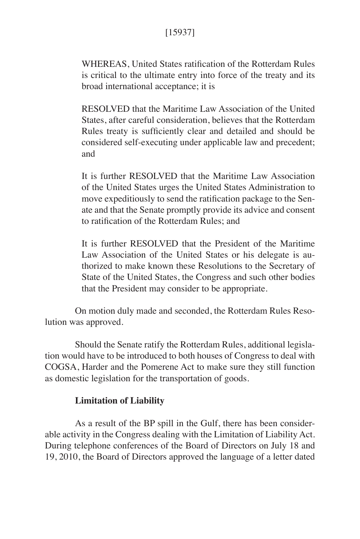# [15937]

WHEREAS, United States ratification of the Rotterdam Rules is critical to the ultimate entry into force of the treaty and its broad international acceptance; it is

RESOLVED that the Maritime Law Association of the United States, after careful consideration, believes that the Rotterdam Rules treaty is sufficiently clear and detailed and should be considered self-executing under applicable law and precedent; and

It is further RESOLVED that the Maritime Law Association of the United States urges the United States Administration to move expeditiously to send the ratification package to the Senate and that the Senate promptly provide its advice and consent to ratification of the Rotterdam Rules; and

It is further RESOLVED that the President of the Maritime Law Association of the United States or his delegate is authorized to make known these Resolutions to the Secretary of State of the United States, the Congress and such other bodies that the President may consider to be appropriate.

On motion duly made and seconded, the Rotterdam Rules Resolution was approved.

Should the Senate ratify the Rotterdam Rules, additional legislation would have to be introduced to both houses of Congress to deal with COGSA, Harder and the Pomerene Act to make sure they still function as domestic legislation for the transportation of goods.

### **Limitation of Liability**

As a result of the BP spill in the Gulf, there has been considerable activity in the Congress dealing with the Limitation of Liability Act. During telephone conferences of the Board of Directors on July 18 and 19, 2010, the Board of Directors approved the language of a letter dated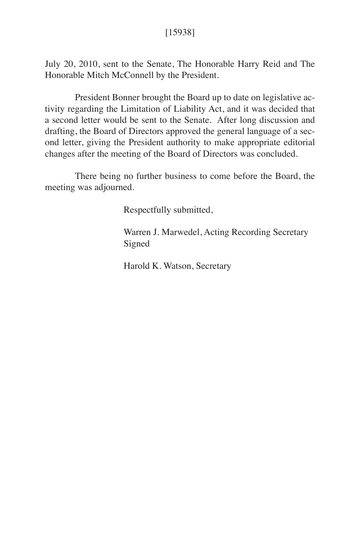July 20, 2010, sent to the Senate, The Honorable Harry Reid and The Honorable Mitch McConnell by the President.

President Bonner brought the Board up to date on legislative activity regarding the Limitation of Liability Act, and it was decided that a second letter would be sent to the Senate. After long discussion and drafting, the Board of Directors approved the general language of a second letter, giving the President authority to make appropriate editorial changes after the meeting of the Board of Directors was concluded.

There being no further business to come before the Board, the meeting was adjourned.

Respectfully submitted,

 Warren J. Marwedel, Acting Recording Secretary Signed

Harold K. Watson, Secretary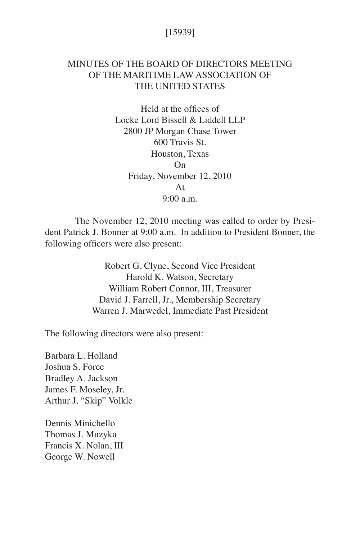## [15939]

# MINUTES OF THE BOARD OF DIRECTORS MEETING OF THE MARITIME LAW ASSOCIATION OF THE UNITED STATES

Held at the offices of Locke Lord Bissell & Liddell LLP 2800 JP Morgan Chase Tower 600 Travis St. Houston, Texas On Friday, November 12, 2010 At 9:00 a.m.

The November 12, 2010 meeting was called to order by President Patrick J. Bonner at 9:00 a.m. In addition to President Bonner, the following officers were also present:

> Robert G. Clyne, Second Vice President Harold K. Watson, Secretary William Robert Connor, III, Treasurer David J. Farrell, Jr., Membership Secretary Warren J. Marwedel, Immediate Past President

The following directors were also present:

Barbara L. Holland Joshua S. Force Bradley A. Jackson James F. Moseley, Jr. Arthur J. "Skip" Volkle

Dennis Minichello Thomas J. Muzyka Francis X. Nolan, III George W. Nowell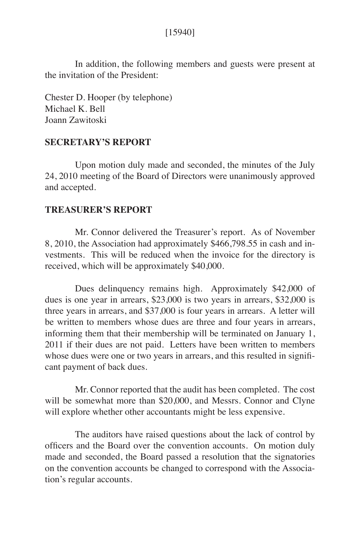[15940]

In addition, the following members and guests were present at the invitation of the President:

Chester D. Hooper (by telephone) Michael K. Bell Joann Zawitoski

### **SECRETARY'S REPORT**

Upon motion duly made and seconded, the minutes of the July 24, 2010 meeting of the Board of Directors were unanimously approved and accepted.

#### **TREASURER'S REPORT**

Mr. Connor delivered the Treasurer's report. As of November 8, 2010, the Association had approximately \$466,798.55 in cash and investments. This will be reduced when the invoice for the directory is received, which will be approximately \$40,000.

Dues delinquency remains high. Approximately \$42,000 of dues is one year in arrears, \$23,000 is two years in arrears, \$32,000 is three years in arrears, and \$37,000 is four years in arrears. A letter will be written to members whose dues are three and four years in arrears, informing them that their membership will be terminated on January 1, 2011 if their dues are not paid. Letters have been written to members whose dues were one or two years in arrears, and this resulted in significant payment of back dues.

Mr. Connor reported that the audit has been completed. The cost will be somewhat more than \$20,000, and Messrs. Connor and Clyne will explore whether other accountants might be less expensive.

The auditors have raised questions about the lack of control by officers and the Board over the convention accounts. On motion duly made and seconded, the Board passed a resolution that the signatories on the convention accounts be changed to correspond with the Association's regular accounts.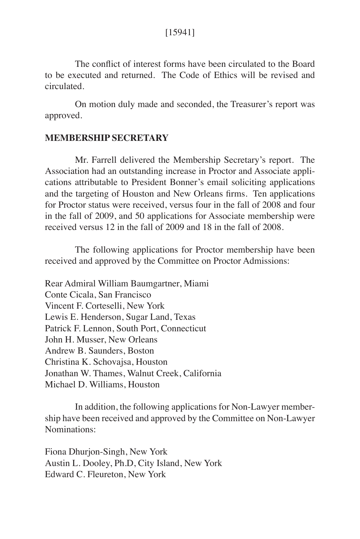### [15941]

The conflict of interest forms have been circulated to the Board to be executed and returned. The Code of Ethics will be revised and circulated.

On motion duly made and seconded, the Treasurer's report was approved.

## **MEMBERSHIP SECRETARY**

Mr. Farrell delivered the Membership Secretary's report. The Association had an outstanding increase in Proctor and Associate applications attributable to President Bonner's email soliciting applications and the targeting of Houston and New Orleans firms. Ten applications for Proctor status were received, versus four in the fall of 2008 and four in the fall of 2009, and 50 applications for Associate membership were received versus 12 in the fall of 2009 and 18 in the fall of 2008.

The following applications for Proctor membership have been received and approved by the Committee on Proctor Admissions:

Rear Admiral William Baumgartner, Miami Conte Cicala, San Francisco Vincent F. Corteselli, New York Lewis E. Henderson, Sugar Land, Texas Patrick F. Lennon, South Port, Connecticut John H. Musser, New Orleans Andrew B. Saunders, Boston Christina K. Schovajsa, Houston Jonathan W. Thames, Walnut Creek, California Michael D. Williams, Houston

In addition, the following applications for Non-Lawyer membership have been received and approved by the Committee on Non-Lawyer Nominations:

Fiona Dhurjon-Singh, New York Austin L. Dooley, Ph.D, City Island, New York Edward C. Fleureton, New York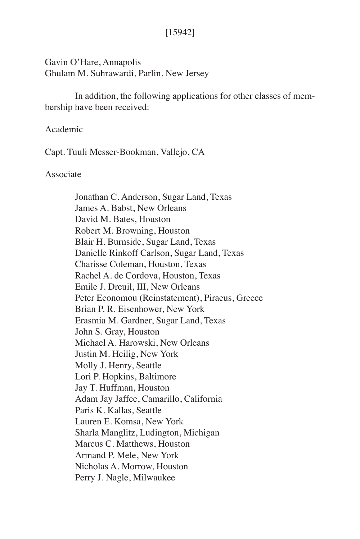## [15942]

Gavin O'Hare, Annapolis Ghulam M. Suhrawardi, Parlin, New Jersey

In addition, the following applications for other classes of membership have been received:

### Academic

Capt. Tuuli Messer-Bookman, Vallejo, CA

#### Associate

Jonathan C. Anderson, Sugar Land, Texas James A. Babst, New Orleans David M. Bates, Houston Robert M. Browning, Houston Blair H. Burnside, Sugar Land, Texas Danielle Rinkoff Carlson, Sugar Land, Texas Charisse Coleman, Houston, Texas Rachel A. de Cordova, Houston, Texas Emile J. Dreuil, III, New Orleans Peter Economou (Reinstatement), Piraeus, Greece Brian P. R. Eisenhower, New York Erasmia M. Gardner, Sugar Land, Texas John S. Gray, Houston Michael A. Harowski, New Orleans Justin M. Heilig, New York Molly J. Henry, Seattle Lori P. Hopkins, Baltimore Jay T. Huffman, Houston Adam Jay Jaffee, Camarillo, California Paris K. Kallas, Seattle Lauren E. Komsa, New York Sharla Manglitz, Ludington, Michigan Marcus C. Matthews, Houston Armand P. Mele, New York Nicholas A. Morrow, Houston Perry J. Nagle, Milwaukee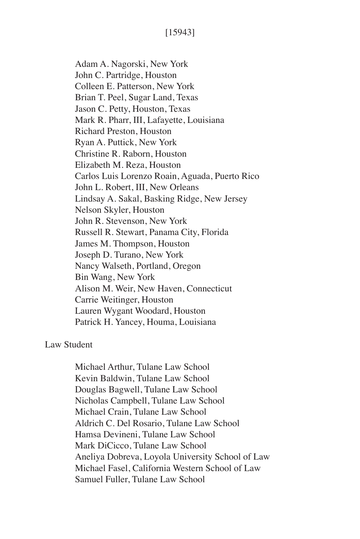Adam A. Nagorski, New York John C. Partridge, Houston Colleen E. Patterson, New York Brian T. Peel, Sugar Land, Texas Jason C. Petty, Houston, Texas Mark R. Pharr, III, Lafayette, Louisiana Richard Preston, Houston Ryan A. Puttick, New York Christine R. Raborn, Houston Elizabeth M. Reza, Houston Carlos Luis Lorenzo Roain, Aguada, Puerto Rico John L. Robert, III, New Orleans Lindsay A. Sakal, Basking Ridge, New Jersey Nelson Skyler, Houston John R. Stevenson, New York Russell R. Stewart, Panama City, Florida James M. Thompson, Houston Joseph D. Turano, New York Nancy Walseth, Portland, Oregon Bin Wang, New York Alison M. Weir, New Haven, Connecticut Carrie Weitinger, Houston Lauren Wygant Woodard, Houston Patrick H. Yancey, Houma, Louisiana

### Law Student

Michael Arthur, Tulane Law School Kevin Baldwin, Tulane Law School Douglas Bagwell, Tulane Law School Nicholas Campbell, Tulane Law School Michael Crain, Tulane Law School Aldrich C. Del Rosario, Tulane Law School Hamsa Devineni, Tulane Law School Mark DiCicco, Tulane Law School Aneliya Dobreva, Loyola University School of Law Michael Fasel, California Western School of Law Samuel Fuller, Tulane Law School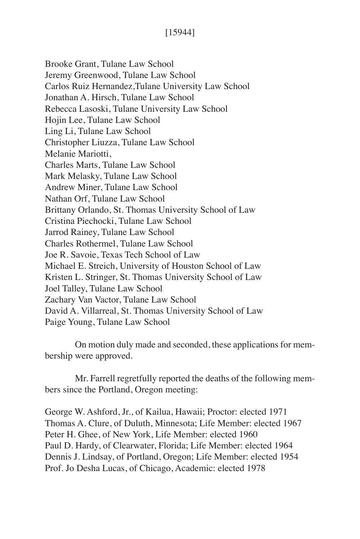Brooke Grant, Tulane Law School Jeremy Greenwood, Tulane Law School Carlos Ruiz Hernandez,Tulane University Law School Jonathan A. Hirsch, Tulane Law School Rebecca Lasoski, Tulane University Law School Hojin Lee, Tulane Law School Ling Li, Tulane Law School Christopher Liuzza, Tulane Law School Melanie Mariotti, Charles Marts, Tulane Law School Mark Melasky, Tulane Law School Andrew Miner, Tulane Law School Nathan Orf, Tulane Law School Brittany Orlando, St. Thomas University School of Law Cristina Piechocki, Tulane Law School Jarrod Rainey, Tulane Law School Charles Rothermel, Tulane Law School Joe R. Savoie, Texas Tech School of Law Michael E. Streich, University of Houston School of Law Kristen L. Stringer, St. Thomas University School of Law Joel Talley, Tulane Law School Zachary Van Vactor, Tulane Law School David A. Villarreal, St. Thomas University School of Law Paige Young, Tulane Law School

On motion duly made and seconded, these applications for membership were approved.

Mr. Farrell regretfully reported the deaths of the following members since the Portland, Oregon meeting:

George W. Ashford, Jr., of Kailua, Hawaii; Proctor: elected 1971 Thomas A. Clure, of Duluth, Minnesota; Life Member: elected 1967 Peter H. Ghee, of New York, Life Member: elected 1960 Paul D. Hardy, of Clearwater, Florida; Life Member: elected 1964 Dennis J. Lindsay, of Portland, Oregon; Life Member: elected 1954 Prof. Jo Desha Lucas, of Chicago, Academic: elected 1978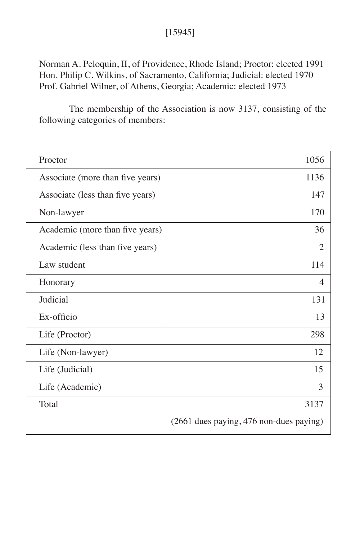# [15945]

Norman A. Peloquin, II, of Providence, Rhode Island; Proctor: elected 1991 Hon. Philip C. Wilkins, of Sacramento, California; Judicial: elected 1970 Prof. Gabriel Wilner, of Athens, Georgia; Academic: elected 1973

The membership of the Association is now 3137, consisting of the following categories of members:

| Proctor                          | 1056                                    |
|----------------------------------|-----------------------------------------|
| Associate (more than five years) | 1136                                    |
| Associate (less than five years) | 147                                     |
| Non-lawyer                       | 170                                     |
| Academic (more than five years)  | 36                                      |
| Academic (less than five years)  | 2                                       |
| Law student                      | 114                                     |
| Honorary                         | 4                                       |
| Judicial                         | 131                                     |
| Ex-officio                       | 13                                      |
| Life (Proctor)                   | 298                                     |
| Life (Non-lawyer)                | 12                                      |
| Life (Judicial)                  | 15                                      |
| Life (Academic)                  | 3                                       |
| Total                            | 3137                                    |
|                                  | (2661 dues paying, 476 non-dues paying) |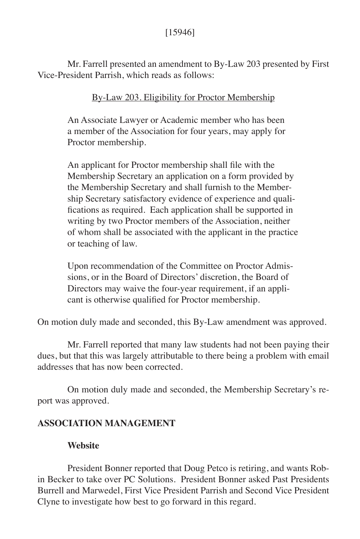Mr. Farrell presented an amendment to By-Law 203 presented by First Vice-President Parrish, which reads as follows:

## By-Law 203. Eligibility for Proctor Membership

An Associate Lawyer or Academic member who has been a member of the Association for four years, may apply for Proctor membership.

An applicant for Proctor membership shall file with the Membership Secretary an application on a form provided by the Membership Secretary and shall furnish to the Membership Secretary satisfactory evidence of experience and qualifications as required. Each application shall be supported in writing by two Proctor members of the Association, neither of whom shall be associated with the applicant in the practice or teaching of law.

Upon recommendation of the Committee on Proctor Admissions, or in the Board of Directors' discretion, the Board of Directors may waive the four-year requirement, if an applicant is otherwise qualified for Proctor membership.

On motion duly made and seconded, this By-Law amendment was approved.

Mr. Farrell reported that many law students had not been paying their dues, but that this was largely attributable to there being a problem with email addresses that has now been corrected.

On motion duly made and seconded, the Membership Secretary's report was approved.

### **ASSOCIATION MANAGEMENT**

### **Website**

President Bonner reported that Doug Petco is retiring, and wants Robin Becker to take over PC Solutions. President Bonner asked Past Presidents Burrell and Marwedel, First Vice President Parrish and Second Vice President Clyne to investigate how best to go forward in this regard.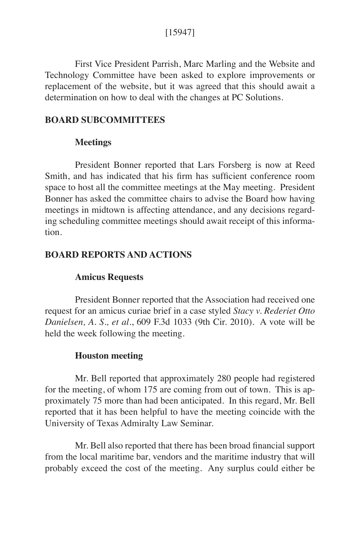### [15947]

First Vice President Parrish, Marc Marling and the Website and Technology Committee have been asked to explore improvements or replacement of the website, but it was agreed that this should await a determination on how to deal with the changes at PC Solutions.

#### **BOARD SUBCOMMITTEES**

### **Meetings**

President Bonner reported that Lars Forsberg is now at Reed Smith, and has indicated that his firm has sufficient conference room space to host all the committee meetings at the May meeting. President Bonner has asked the committee chairs to advise the Board how having meetings in midtown is affecting attendance, and any decisions regarding scheduling committee meetings should await receipt of this information.

### **BOARD REPORTS AND ACTIONS**

#### **Amicus Requests**

President Bonner reported that the Association had received one request for an amicus curiae brief in a case styled *Stacy v. Rederiet Otto Danielsen, A. S., et al.*, 609 F.3d 1033 (9th Cir. 2010). A vote will be held the week following the meeting.

#### **Houston meeting**

Mr. Bell reported that approximately 280 people had registered for the meeting, of whom 175 are coming from out of town. This is approximately 75 more than had been anticipated. In this regard, Mr. Bell reported that it has been helpful to have the meeting coincide with the University of Texas Admiralty Law Seminar.

Mr. Bell also reported that there has been broad financial support from the local maritime bar, vendors and the maritime industry that will probably exceed the cost of the meeting. Any surplus could either be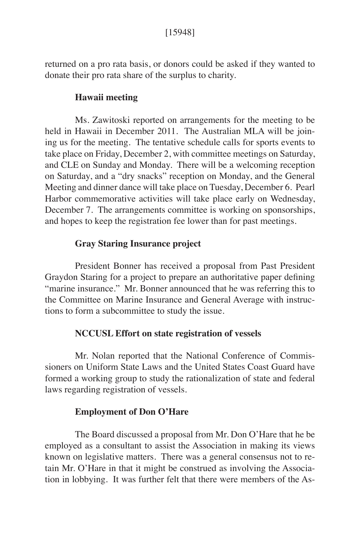returned on a pro rata basis, or donors could be asked if they wanted to donate their pro rata share of the surplus to charity.

## **Hawaii meeting**

Ms. Zawitoski reported on arrangements for the meeting to be held in Hawaii in December 2011. The Australian MLA will be joining us for the meeting. The tentative schedule calls for sports events to take place on Friday, December 2, with committee meetings on Saturday, and CLE on Sunday and Monday. There will be a welcoming reception on Saturday, and a "dry snacks" reception on Monday, and the General Meeting and dinner dance will take place on Tuesday, December 6. Pearl Harbor commemorative activities will take place early on Wednesday, December 7. The arrangements committee is working on sponsorships, and hopes to keep the registration fee lower than for past meetings.

## **Gray Staring Insurance project**

President Bonner has received a proposal from Past President Graydon Staring for a project to prepare an authoritative paper defining "marine insurance." Mr. Bonner announced that he was referring this to the Committee on Marine Insurance and General Average with instructions to form a subcommittee to study the issue.

### **NCCUSL Effort on state registration of vessels**

Mr. Nolan reported that the National Conference of Commissioners on Uniform State Laws and the United States Coast Guard have formed a working group to study the rationalization of state and federal laws regarding registration of vessels.

### **Employment of Don O'Hare**

The Board discussed a proposal from Mr. Don O'Hare that he be employed as a consultant to assist the Association in making its views known on legislative matters. There was a general consensus not to retain Mr. O'Hare in that it might be construed as involving the Association in lobbying. It was further felt that there were members of the As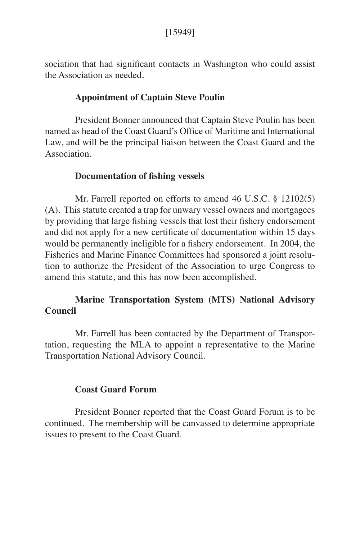sociation that had significant contacts in Washington who could assist the Association as needed.

### **Appointment of Captain Steve Poulin**

President Bonner announced that Captain Steve Poulin has been named as head of the Coast Guard's Office of Maritime and International Law, and will be the principal liaison between the Coast Guard and the Association.

### **Documentation of fishing vessels**

Mr. Farrell reported on efforts to amend 46 U.S.C. § 12102(5) (A). This statute created a trap for unwary vessel owners and mortgagees by providing that large fishing vessels that lost their fishery endorsement and did not apply for a new certificate of documentation within 15 days would be permanently ineligible for a fishery endorsement. In 2004, the Fisheries and Marine Finance Committees had sponsored a joint resolution to authorize the President of the Association to urge Congress to amend this statute, and this has now been accomplished.

# **Marine Transportation System (MTS) National Advisory Council**

Mr. Farrell has been contacted by the Department of Transportation, requesting the MLA to appoint a representative to the Marine Transportation National Advisory Council.

#### **Coast Guard Forum**

President Bonner reported that the Coast Guard Forum is to be continued. The membership will be canvassed to determine appropriate issues to present to the Coast Guard.